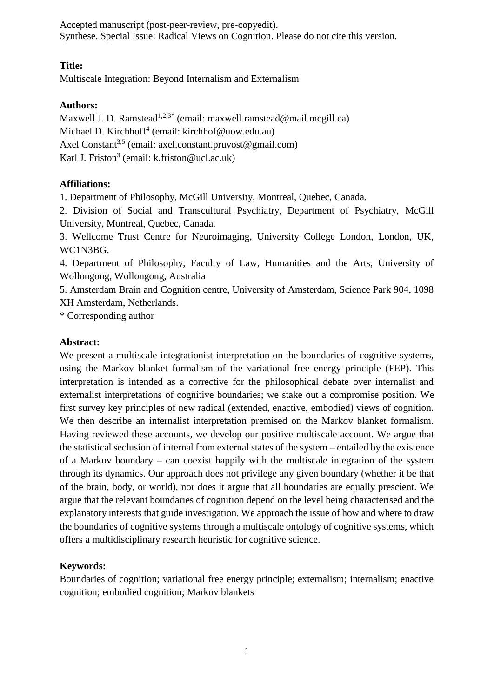## **Title:**

Multiscale Integration: Beyond Internalism and Externalism

#### **Authors:**

Maxwell J. D. Ramstead<sup>1,2,3\*</sup> (email: maxwell.ramstead@mail.mcgill.ca) Michael D. Kirchhoff<sup>4</sup> (email: kirchhof@uow.edu.au) Axel Constant<sup>3,5</sup> (email: axel.constant.pruvost@gmail.com) Karl J. Friston<sup>3</sup> (email: k.friston@ucl.ac.uk)

### **Affiliations:**

1. Department of Philosophy, McGill University, Montreal, Quebec, Canada.

2. Division of Social and Transcultural Psychiatry, Department of Psychiatry, McGill University, Montreal, Quebec, Canada.

3. Wellcome Trust Centre for Neuroimaging, University College London, London, UK, WC1N3BG.

4. Department of Philosophy, Faculty of Law, Humanities and the Arts, University of Wollongong, Wollongong, Australia

5. Amsterdam Brain and Cognition centre, University of Amsterdam, Science Park 904, 1098 XH Amsterdam, Netherlands.

\* Corresponding author

### **Abstract:**

We present a multiscale integrationist interpretation on the boundaries of cognitive systems, using the Markov blanket formalism of the variational free energy principle (FEP). This interpretation is intended as a corrective for the philosophical debate over internalist and externalist interpretations of cognitive boundaries; we stake out a compromise position. We first survey key principles of new radical (extended, enactive, embodied) views of cognition. We then describe an internalist interpretation premised on the Markov blanket formalism. Having reviewed these accounts, we develop our positive multiscale account. We argue that the statistical seclusion of internal from external states of the system – entailed by the existence of a Markov boundary – can coexist happily with the multiscale integration of the system through its dynamics. Our approach does not privilege any given boundary (whether it be that of the brain, body, or world), nor does it argue that all boundaries are equally prescient. We argue that the relevant boundaries of cognition depend on the level being characterised and the explanatory interests that guide investigation. We approach the issue of how and where to draw the boundaries of cognitive systems through a multiscale ontology of cognitive systems, which offers a multidisciplinary research heuristic for cognitive science.

## **Keywords:**

Boundaries of cognition; variational free energy principle; externalism; internalism; enactive cognition; embodied cognition; Markov blankets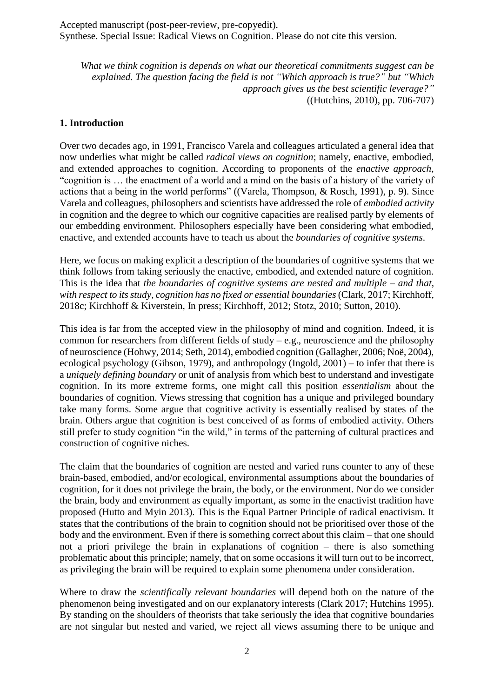*What we think cognition is depends on what our theoretical commitments suggest can be explained. The question facing the field is not "Which approach is true?" but "Which approach gives us the best scientific leverage?"*  ((Hutchins, 2010), pp. 706-707)

### **1. Introduction**

Over two decades ago, in 1991, Francisco Varela and colleagues articulated a general idea that now underlies what might be called *radical views on cognition*; namely, enactive, embodied, and extended approaches to cognition. According to proponents of the *enactive approach*, "cognition is … the enactment of a world and a mind on the basis of a history of the variety of actions that a being in the world performs" ((Varela, Thompson, & Rosch, 1991), p. 9). Since Varela and colleagues, philosophers and scientists have addressed the role of *embodied activity* in cognition and the degree to which our cognitive capacities are realised partly by elements of our embedding environment. Philosophers especially have been considering what embodied, enactive, and extended accounts have to teach us about the *boundaries of cognitive systems*.

Here, we focus on making explicit a description of the boundaries of cognitive systems that we think follows from taking seriously the enactive, embodied, and extended nature of cognition. This is the idea that *the boundaries of cognitive systems are nested and multiple – and that, with respect to its study, cognition has no fixed or essential boundaries* (Clark, 2017; Kirchhoff, 2018c; Kirchhoff & Kiverstein, In press; Kirchhoff, 2012; Stotz, 2010; Sutton, 2010).

This idea is far from the accepted view in the philosophy of mind and cognition. Indeed, it is common for researchers from different fields of study – e.g., neuroscience and the philosophy of neuroscience (Hohwy, 2014; Seth, 2014), embodied cognition (Gallagher, 2006; Noë, 2004), ecological psychology (Gibson, 1979), and anthropology (Ingold, 2001) – to infer that there is a *uniquely defining boundary* or unit of analysis from which best to understand and investigate cognition. In its more extreme forms, one might call this position *essentialism* about the boundaries of cognition. Views stressing that cognition has a unique and privileged boundary take many forms. Some argue that cognitive activity is essentially realised by states of the brain. Others argue that cognition is best conceived of as forms of embodied activity. Others still prefer to study cognition "in the wild," in terms of the patterning of cultural practices and construction of cognitive niches.

The claim that the boundaries of cognition are nested and varied runs counter to any of these brain-based, embodied, and/or ecological, environmental assumptions about the boundaries of cognition, for it does not privilege the brain, the body, or the environment. Nor do we consider the brain, body and environment as equally important, as some in the enactivist tradition have proposed (Hutto and Myin 2013). This is the Equal Partner Principle of radical enactivism. It states that the contributions of the brain to cognition should not be prioritised over those of the body and the environment. Even if there is something correct about this claim – that one should not a priori privilege the brain in explanations of cognition – there is also something problematic about this principle; namely, that on some occasions it will turn out to be incorrect, as privileging the brain will be required to explain some phenomena under consideration.

Where to draw the *scientifically relevant boundaries* will depend both on the nature of the phenomenon being investigated and on our explanatory interests (Clark 2017; Hutchins 1995). By standing on the shoulders of theorists that take seriously the idea that cognitive boundaries are not singular but nested and varied, we reject all views assuming there to be unique and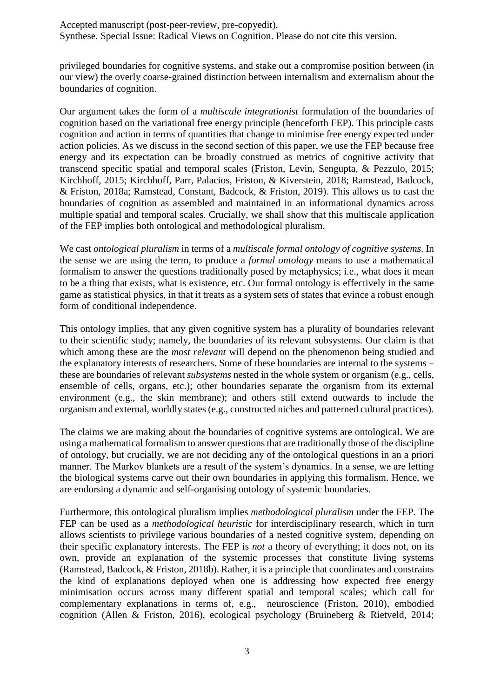privileged boundaries for cognitive systems, and stake out a compromise position between (in our view) the overly coarse-grained distinction between internalism and externalism about the boundaries of cognition.

Our argument takes the form of a *multiscale integrationist* formulation of the boundaries of cognition based on the variational free energy principle (henceforth FEP). This principle casts cognition and action in terms of quantities that change to minimise free energy expected under action policies. As we discuss in the second section of this paper, we use the FEP because free energy and its expectation can be broadly construed as metrics of cognitive activity that transcend specific spatial and temporal scales (Friston, Levin, Sengupta, & Pezzulo, 2015; Kirchhoff, 2015; Kirchhoff, Parr, Palacios, Friston, & Kiverstein, 2018; Ramstead, Badcock, & Friston, 2018a; Ramstead, Constant, Badcock, & Friston, 2019). This allows us to cast the boundaries of cognition as assembled and maintained in an informational dynamics across multiple spatial and temporal scales. Crucially, we shall show that this multiscale application of the FEP implies both ontological and methodological pluralism.

We cast *ontological pluralism* in terms of a *multiscale formal ontology of cognitive systems*. In the sense we are using the term, to produce a *formal ontology* means to use a mathematical formalism to answer the questions traditionally posed by metaphysics; i.e., what does it mean to be a thing that exists, what is existence, etc. Our formal ontology is effectively in the same game as statistical physics, in that it treats as a system sets of states that evince a robust enough form of conditional independence.

This ontology implies, that any given cognitive system has a plurality of boundaries relevant to their scientific study; namely, the boundaries of its relevant subsystems. Our claim is that which among these are the *most relevant* will depend on the phenomenon being studied and the explanatory interests of researchers. Some of these boundaries are internal to the systems – these are boundaries of relevant *subsystems* nested in the whole system or organism (e.g., cells, ensemble of cells, organs, etc.); other boundaries separate the organism from its external environment (e.g., the skin membrane); and others still extend outwards to include the organism and external, worldly states (e.g., constructed niches and patterned cultural practices).

The claims we are making about the boundaries of cognitive systems are ontological. We are using a mathematical formalism to answer questions that are traditionally those of the discipline of ontology, but crucially, we are not deciding any of the ontological questions in an a priori manner. The Markov blankets are a result of the system's dynamics. In a sense, we are letting the biological systems carve out their own boundaries in applying this formalism. Hence, we are endorsing a dynamic and self-organising ontology of systemic boundaries.

Furthermore, this ontological pluralism implies *methodological pluralism* under the FEP. The FEP can be used as a *methodological heuristic* for interdisciplinary research, which in turn allows scientists to privilege various boundaries of a nested cognitive system, depending on their specific explanatory interests. The FEP is *not* a theory of everything; it does not, on its own, provide an explanation of the systemic processes that constitute living systems (Ramstead, Badcock, & Friston, 2018b). Rather, it is a principle that coordinates and constrains the kind of explanations deployed when one is addressing how expected free energy minimisation occurs across many different spatial and temporal scales; which call for complementary explanations in terms of, e.g., neuroscience (Friston, 2010), embodied cognition (Allen & Friston, 2016), ecological psychology (Bruineberg & Rietveld, 2014;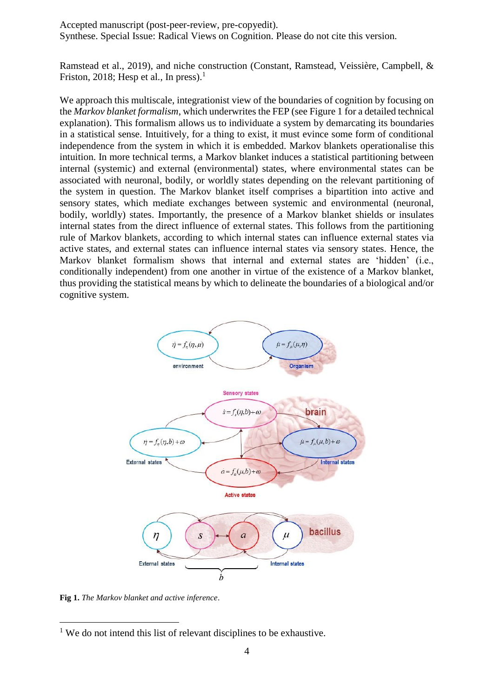Ramstead et al., 2019), and niche construction (Constant, Ramstead, Veissière, Campbell, & Friston, 2018; Hesp et al., In press).<sup>1</sup>

We approach this multiscale, integrationist view of the boundaries of cognition by focusing on the *Markov blanket formalism*, which underwrites the FEP (see Figure 1 for a detailed technical explanation). This formalism allows us to individuate a system by demarcating its boundaries in a statistical sense. Intuitively, for a thing to exist, it must evince some form of conditional independence from the system in which it is embedded. Markov blankets operationalise this intuition. In more technical terms, a Markov blanket induces a statistical partitioning between internal (systemic) and external (environmental) states, where environmental states can be associated with neuronal, bodily, or worldly states depending on the relevant partitioning of the system in question. The Markov blanket itself comprises a bipartition into active and sensory states, which mediate exchanges between systemic and environmental (neuronal, bodily, worldly) states. Importantly, the presence of a Markov blanket shields or insulates internal states from the direct influence of external states. This follows from the partitioning rule of Markov blankets, according to which internal states can influence external states via active states, and external states can influence internal states via sensory states. Hence, the Markov blanket formalism shows that internal and external states are 'hidden' (i.e., conditionally independent) from one another in virtue of the existence of a Markov blanket, thus providing the statistical means by which to delineate the boundaries of a biological and/or cognitive system.



**Fig 1.** *The Markov blanket and active inference*.

1

<sup>&</sup>lt;sup>1</sup> We do not intend this list of relevant disciplines to be exhaustive.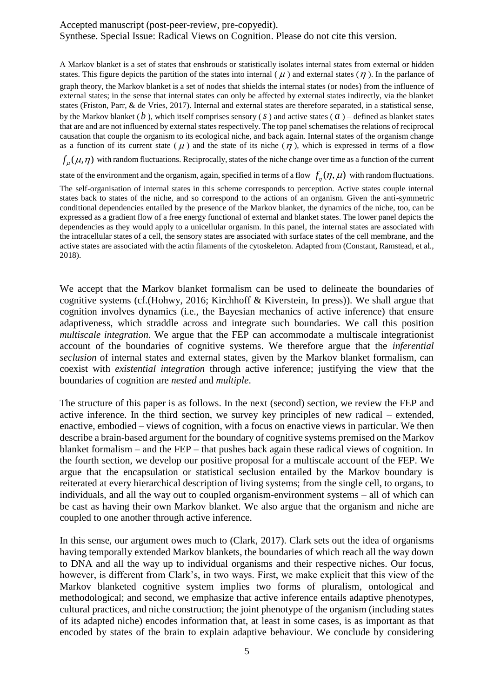A Markov blanket is a set of states that enshrouds or statistically isolates internal states from external or hidden states. This figure depicts the partition of the states into internal ( $\mu$ ) and external states ( $\eta$ ). In the parlance of graph theory, the Markov blanket is a set of nodes that shields the internal states (or nodes) from the influence of external states; in the sense that internal states can only be affected by external states indirectly, via the blanket states (Friston, Parr, & de Vries, 2017). Internal and external states are therefore separated, in a statistical sense, by the Markov blanket ( $b$ ), which itself comprises sensory ( $s$ ) and active states ( $a$ ) – defined as blanket states that are and are not influenced by external states respectively. The top panel schematises the relations of reciprocal causation that couple the organism to its ecological niche, and back again. Internal states of the organism change as a function of its current state ( $\mu$ ) and the state of its niche ( $\eta$ ), which is expressed in terms of a flow

 $f_{\mu}(\mu, \eta)$  with random fluctuations. Reciprocally, states of the niche change over time as a function of the current

state of the environment and the organism, again, specified in terms of a flow  $f_{\eta}(\eta,\mu)$  with random fluctuations.

The self-organisation of internal states in this scheme corresponds to perception. Active states couple internal states back to states of the niche, and so correspond to the actions of an organism. Given the anti-symmetric conditional dependencies entailed by the presence of the Markov blanket, the dynamics of the niche, too, can be expressed as a gradient flow of a free energy functional of external and blanket states. The lower panel depicts the dependencies as they would apply to a unicellular organism. In this panel, the internal states are associated with the intracellular states of a cell, the sensory states are associated with surface states of the cell membrane, and the active states are associated with the actin filaments of the cytoskeleton. Adapted from (Constant, Ramstead, et al., 2018).

We accept that the Markov blanket formalism can be used to delineate the boundaries of cognitive systems (cf.(Hohwy, 2016; Kirchhoff & Kiverstein, In press)). We shall argue that cognition involves dynamics (i.e., the Bayesian mechanics of active inference) that ensure adaptiveness, which straddle across and integrate such boundaries. We call this position *multiscale integration*. We argue that the FEP can accommodate a multiscale integrationist account of the boundaries of cognitive systems. We therefore argue that the *inferential seclusion* of internal states and external states, given by the Markov blanket formalism, can coexist with *existential integration* through active inference; justifying the view that the boundaries of cognition are *nested* and *multiple*.

The structure of this paper is as follows. In the next (second) section, we review the FEP and active inference. In the third section, we survey key principles of new radical – extended, enactive, embodied – views of cognition, with a focus on enactive views in particular. We then describe a brain-based argument for the boundary of cognitive systems premised on the Markov blanket formalism – and the FEP – that pushes back again these radical views of cognition. In the fourth section, we develop our positive proposal for a multiscale account of the FEP. We argue that the encapsulation or statistical seclusion entailed by the Markov boundary is reiterated at every hierarchical description of living systems; from the single cell, to organs, to individuals, and all the way out to coupled organism-environment systems – all of which can be cast as having their own Markov blanket. We also argue that the organism and niche are coupled to one another through active inference.

In this sense, our argument owes much to (Clark, 2017). Clark sets out the idea of organisms having temporally extended Markov blankets, the boundaries of which reach all the way down to DNA and all the way up to individual organisms and their respective niches. Our focus, however, is different from Clark's, in two ways. First, we make explicit that this view of the Markov blanketed cognitive system implies two forms of pluralism, ontological and methodological; and second, we emphasize that active inference entails adaptive phenotypes, cultural practices, and niche construction; the joint phenotype of the organism (including states of its adapted niche) encodes information that, at least in some cases, is as important as that encoded by states of the brain to explain adaptive behaviour. We conclude by considering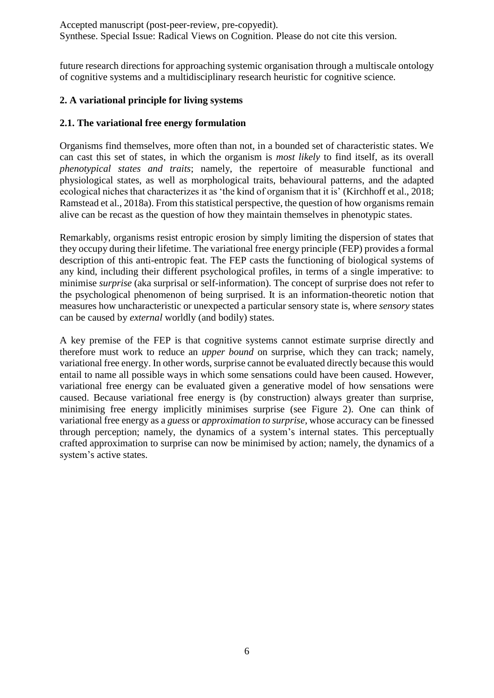future research directions for approaching systemic organisation through a multiscale ontology of cognitive systems and a multidisciplinary research heuristic for cognitive science.

# **2. A variational principle for living systems**

## **2.1. The variational free energy formulation**

Organisms find themselves, more often than not, in a bounded set of characteristic states. We can cast this set of states, in which the organism is *most likely* to find itself, as its overall *phenotypical states and traits*; namely, the repertoire of measurable functional and physiological states, as well as morphological traits, behavioural patterns, and the adapted ecological niches that characterizes it as 'the kind of organism that it is' (Kirchhoff et al., 2018; Ramstead et al., 2018a). From this statistical perspective, the question of how organisms remain alive can be recast as the question of how they maintain themselves in phenotypic states.

Remarkably, organisms resist entropic erosion by simply limiting the dispersion of states that they occupy during their lifetime. The variational free energy principle (FEP) provides a formal description of this anti-entropic feat. The FEP casts the functioning of biological systems of any kind, including their different psychological profiles, in terms of a single imperative: to minimise *surprise* (aka surprisal or self-information). The concept of surprise does not refer to the psychological phenomenon of being surprised. It is an information-theoretic notion that measures how uncharacteristic or unexpected a particular sensory state is, where *sensory* states can be caused by *external* worldly (and bodily) states.

A key premise of the FEP is that cognitive systems cannot estimate surprise directly and therefore must work to reduce an *upper bound* on surprise, which they can track; namely, variational free energy. In other words, surprise cannot be evaluated directly because this would entail to name all possible ways in which some sensations could have been caused. However, variational free energy can be evaluated given a generative model of how sensations were caused. Because variational free energy is (by construction) always greater than surprise, minimising free energy implicitly minimises surprise (see Figure 2). One can think of variational free energy as a *guess* or *approximation to surprise*, whose accuracy can be finessed through perception; namely, the dynamics of a system's internal states. This perceptually crafted approximation to surprise can now be minimised by action; namely, the dynamics of a system's active states.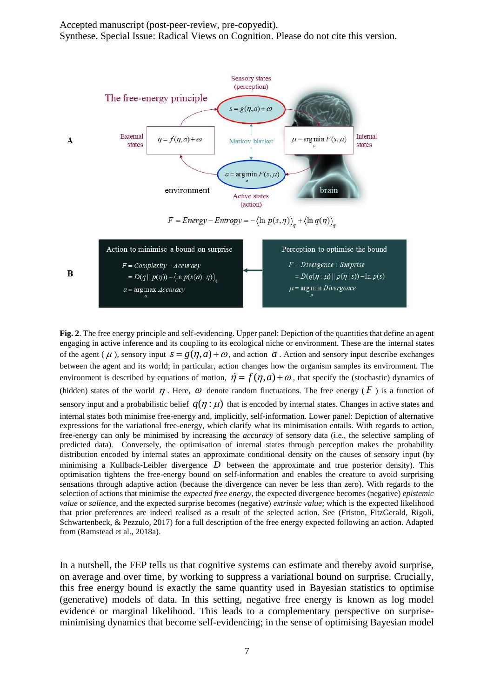

**Fig. 2**. The free energy principle and self-evidencing. Upper panel: Depiction of the quantities that define an agent engaging in active inference and its coupling to its ecological niche or environment. These are the internal states of the agent ( $\mu$ ), sensory input  $s = g(\eta, a) + \omega$ , and action  $a$ . Action and sensory input describe exchanges between the agent and its world; in particular, action changes how the organism samples its environment. The environment is described by equations of motion,  $\dot{\eta} = f(\eta, a) + \omega$ , that specify the (stochastic) dynamics of (hidden) states of the world  $\eta$ . Here,  $\omega$  denote random fluctuations. The free energy ( $F$ ) is a function of sensory input and a probabilistic belief  $q(\eta : \mu)$  that is encoded by internal states. Changes in active states and internal states both minimise free-energy and, implicitly, self-information. Lower panel: Depiction of alternative expressions for the variational free-energy, which clarify what its minimisation entails. With regards to action, free-energy can only be minimised by increasing the *accuracy* of sensory data (i.e., the selective sampling of predicted data). Conversely, the optimisation of internal states through perception makes the probability distribution encoded by internal states an approximate conditional density on the causes of sensory input (by minimising a Kullback-Leibler divergence *D* between the approximate and true posterior density). This optimisation tightens the free-energy bound on self-information and enables the creature to avoid surprising sensations through adaptive action (because the divergence can never be less than zero). With regards to the selection of actions that minimise the *expected free energy*, the expected divergence becomes (negative) *epistemic value* or *salience*, and the expected surprise becomes (negative) *extrinsic value*; which is the expected likelihood that prior preferences are indeed realised as a result of the selected action. See (Friston, FitzGerald, Rigoli, Schwartenbeck, & Pezzulo, 2017) for a full description of the free energy expected following an action. Adapted from (Ramstead et al., 2018a).

In a nutshell, the FEP tells us that cognitive systems can estimate and thereby avoid surprise, on average and over time, by working to suppress a variational bound on surprise. Crucially, this free energy bound is exactly the same quantity used in Bayesian statistics to optimise (generative) models of data. In this setting, negative free energy is known as log model evidence or marginal likelihood. This leads to a complementary perspective on surpriseminimising dynamics that become self-evidencing; in the sense of optimising Bayesian model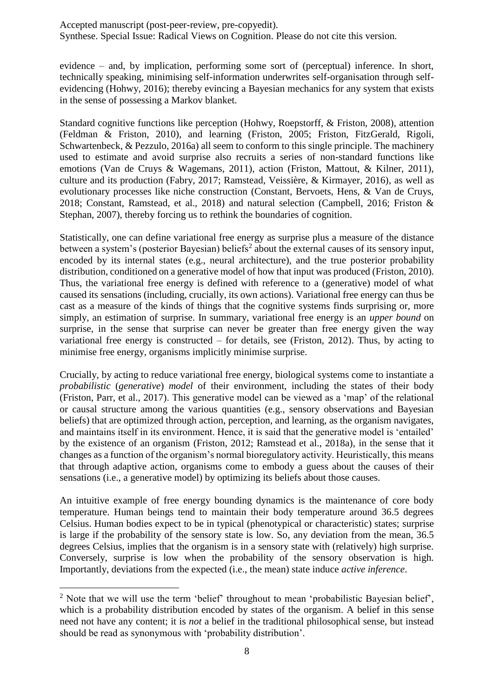evidence – and, by implication, performing some sort of (perceptual) inference. In short, technically speaking, minimising self-information underwrites self-organisation through selfevidencing (Hohwy, 2016); thereby evincing a Bayesian mechanics for any system that exists in the sense of possessing a Markov blanket.

Standard cognitive functions like perception (Hohwy, Roepstorff, & Friston, 2008), attention (Feldman & Friston, 2010), and learning (Friston, 2005; Friston, FitzGerald, Rigoli, Schwartenbeck, & Pezzulo, 2016a) all seem to conform to this single principle. The machinery used to estimate and avoid surprise also recruits a series of non-standard functions like emotions (Van de Cruys & Wagemans, 2011), action (Friston, Mattout, & Kilner, 2011), culture and its production (Fabry, 2017; Ramstead, Veissière, & Kirmayer, 2016), as well as evolutionary processes like niche construction (Constant, Bervoets, Hens, & Van de Cruys, 2018; Constant, Ramstead, et al., 2018) and natural selection (Campbell, 2016; Friston & Stephan, 2007), thereby forcing us to rethink the boundaries of cognition.

Statistically, one can define variational free energy as surprise plus a measure of the distance between a system's (posterior Bayesian) beliefs<sup>2</sup> about the external causes of its sensory input, encoded by its internal states (e.g., neural architecture), and the true posterior probability distribution, conditioned on a generative model of how that input was produced (Friston, 2010). Thus, the variational free energy is defined with reference to a (generative) model of what caused its sensations (including, crucially, its own actions). Variational free energy can thus be cast as a measure of the kinds of things that the cognitive systems finds surprising or, more simply, an estimation of surprise. In summary, variational free energy is an *upper bound* on surprise, in the sense that surprise can never be greater than free energy given the way variational free energy is constructed – [for details, see \(](https://paperpile.com/c/U2CQOw/eMpPr/?prefix=for%20details%2C%20see)Friston, 2012). Thus, by acting to minimise free energy, organisms implicitly minimise surprise.

Crucially, by acting to reduce variational free energy, biological systems come to instantiate a *probabilistic* (*generative*) *model* of their environment, including the states of their body (Friston, Parr, et al., 2017). This generative model can be viewed as a 'map' of the relational or causal structure among the various quantities (e.g., sensory observations and Bayesian beliefs) that are optimized through action, perception, and learning, as the organism navigates, and maintains itself in its environment. Hence, it is said that the generative model is 'entailed' by the existence of an organism (Friston, 2012; Ramstead et al., 2018a), in the sense that it changes as a function of the organism's normal bioregulatory activity. Heuristically, this means that through adaptive action, organisms come to embody a guess about the causes of their sensations (i.e., a generative model) by optimizing its beliefs about those causes.

An intuitive example of free energy bounding dynamics is the maintenance of core body temperature. Human beings tend to maintain their body temperature around 36.5 degrees Celsius. Human bodies expect to be in typical (phenotypical or characteristic) states; surprise is large if the probability of the sensory state is low. So, any deviation from the mean, 36.5 degrees Celsius, implies that the organism is in a sensory state with (relatively) high surprise. Conversely, surprise is low when the probability of the sensory observation is high. Importantly, deviations from the expected (i.e., the mean) state induce *active inference*.

<u>.</u>

 $2$  Note that we will use the term 'belief' throughout to mean 'probabilistic Bayesian belief', which is a probability distribution encoded by states of the organism. A belief in this sense need not have any content; it is *not* a belief in the traditional philosophical sense, but instead should be read as synonymous with 'probability distribution'.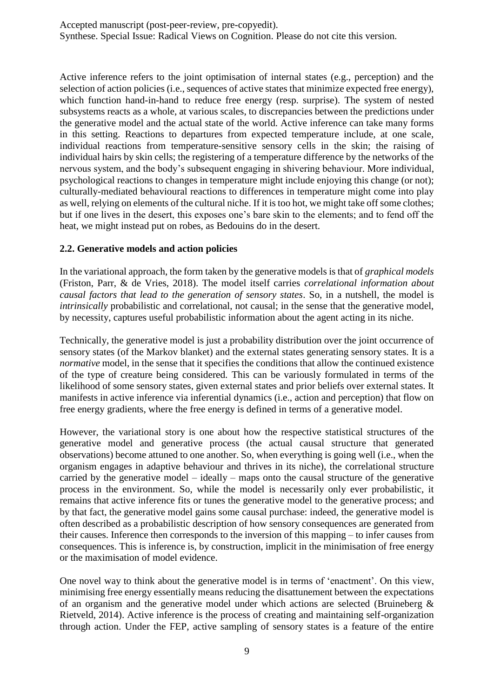Active inference refers to the joint optimisation of internal states (e.g., perception) and the selection of action policies (i.e., sequences of active states that minimize expected free energy), which function hand-in-hand to reduce free energy (resp. surprise). The system of nested subsystems reacts as a whole, at various scales, to discrepancies between the predictions under the generative model and the actual state of the world. Active inference can take many forms in this setting. Reactions to departures from expected temperature include, at one scale, individual reactions from temperature-sensitive sensory cells in the skin; the raising of individual hairs by skin cells; the registering of a temperature difference by the networks of the nervous system, and the body's subsequent engaging in shivering behaviour. More individual, psychological reactions to changes in temperature might include enjoying this change (or not); culturally-mediated behavioural reactions to differences in temperature might come into play as well, relying on elements of the cultural niche. If it is too hot, we might take off some clothes; but if one lives in the desert, this exposes one's bare skin to the elements; and to fend off the heat, we might instead put on robes, as Bedouins do in the desert.

### **2.2. Generative models and action policies**

In the variational approach, the form taken by the generative models is that of *graphical models* (Friston, Parr, & de Vries, 2018). The model itself carries *correlational information about causal factors that lead to the generation of sensory states*. So, in a nutshell, the model is *intrinsically* probabilistic and correlational, not causal; in the sense that the generative model, by necessity, captures useful probabilistic information about the agent acting in its niche.

Technically, the generative model is just a probability distribution over the joint occurrence of sensory states (of the Markov blanket) and the external states generating sensory states. It is a *normative* model, in the sense that it specifies the conditions that allow the continued existence of the type of creature being considered. This can be variously formulated in terms of the likelihood of some sensory states, given external states and prior beliefs over external states. It manifests in active inference via inferential dynamics (i.e., action and perception) that flow on free energy gradients, where the free energy is defined in terms of a generative model.

However, the variational story is one about how the respective statistical structures of the generative model and generative process (the actual causal structure that generated observations) become attuned to one another. So, when everything is going well (i.e., when the organism engages in adaptive behaviour and thrives in its niche), the correlational structure carried by the generative model – ideally – maps onto the causal structure of the generative process in the environment. So, while the model is necessarily only ever probabilistic, it remains that active inference fits or tunes the generative model to the generative process; and by that fact, the generative model gains some causal purchase: indeed, the generative model is often described as a probabilistic description of how sensory consequences are generated from their causes. Inference then corresponds to the inversion of this mapping – to infer causes from consequences. This is inference is, by construction, implicit in the minimisation of free energy or the maximisation of model evidence.

One novel way to think about the generative model is in terms of 'enactment'. On this view, minimising free energy essentially means reducing the disattunement between the expectations of an organism and the generative model under which actions are selected (Bruineberg & Rietveld, 2014). Active inference is the process of creating and maintaining self-organization through action. Under the FEP, active sampling of sensory states is a feature of the entire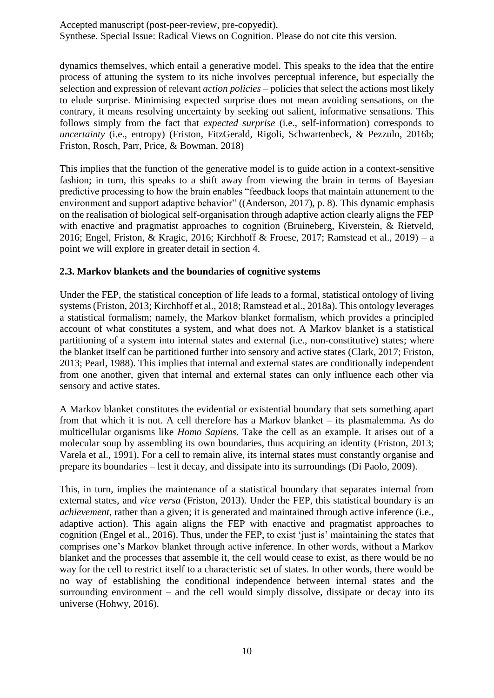dynamics themselves, which entail a generative model. This speaks to the idea that the entire process of attuning the system to its niche involves perceptual inference, but especially the selection and expression of relevant *action policies* – policies that select the actions most likely to elude surprise. Minimising expected surprise does not mean avoiding sensations, on the contrary, it means resolving uncertainty by seeking out salient, informative sensations. This follows simply from the fact that *expected surprise* (i.e., self-information) corresponds to *uncertainty* (i.e., entropy) (Friston, FitzGerald, Rigoli, Schwartenbeck, & Pezzulo, 2016b; Friston, Rosch, Parr, Price, & Bowman, 2018)

This implies that the function of the generative model is to guide action in a context-sensitive fashion; in turn, this speaks to a shift away from viewing the brain in terms of Bayesian predictive processing to how the brain enables "feedback loops that maintain attunement to the environment and support adaptive behavior" ((Anderson, 2017), p. 8). This dynamic emphasis on the realisation of biological self-organisation through adaptive action clearly aligns the FEP with enactive and pragmatist approaches to cognition (Bruineberg, Kiverstein, & Rietveld, 2016; Engel, Friston, & Kragic, 2016; Kirchhoff & Froese, 2017; Ramstead et al., 2019) – a point we will explore in greater detail in section 4.

## **2.3. Markov blankets and the boundaries of cognitive systems**

Under the FEP, the statistical conception of life leads to a formal, statistical ontology of living systems (Friston, 2013; Kirchhoff et al., 2018; Ramstead et al., 2018a). This ontology leverages a statistical formalism; namely, the Markov blanket formalism, which provides a principled account of what constitutes a system, and what does not. A Markov blanket is a statistical partitioning of a system into internal states and external (i.e., non-constitutive) states; where the blanket itself can be partitioned further into sensory and active states (Clark, 2017; Friston, 2013; Pearl, 1988). This implies that internal and external states are conditionally independent from one another, given that internal and external states can only influence each other via sensory and active states.

A Markov blanket constitutes the evidential or existential boundary that sets something apart from that which it is not. A cell therefore has a Markov blanket – its plasmalemma. As do multicellular organisms like *Homo Sapiens*. Take the cell as an example. It arises out of a molecular soup by assembling its own boundaries, thus acquiring an identity (Friston, 2013; Varela et al., 1991). For a cell to remain alive, its internal states must constantly organise and prepare its boundaries – lest it decay, and dissipate into its surroundings (Di Paolo, 2009).

This, in turn, implies the maintenance of a statistical boundary that separates internal from external states, and *vice versa* (Friston, 2013). Under the FEP, this statistical boundary is an *achievement*, rather than a given; it is generated and maintained through active inference (i.e., adaptive action). This again aligns the FEP with enactive and pragmatist approaches to cognition (Engel et al., 2016). Thus, under the FEP, to exist 'just is' maintaining the states that comprises one's Markov blanket through active inference. In other words, without a Markov blanket and the processes that assemble it, the cell would cease to exist, as there would be no way for the cell to restrict itself to a characteristic set of states. In other words, there would be no way of establishing the conditional independence between internal states and the surrounding environment – and the cell would simply dissolve, dissipate or decay into its universe (Hohwy, 2016).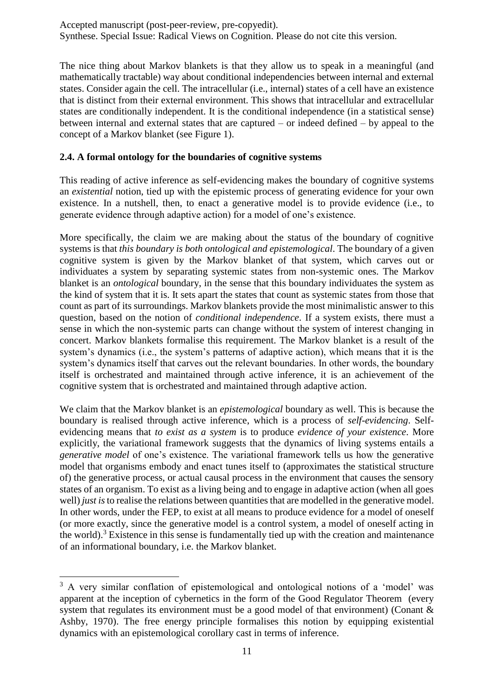The nice thing about Markov blankets is that they allow us to speak in a meaningful (and mathematically tractable) way about conditional independencies between internal and external states. Consider again the cell. The intracellular (i.e., internal) states of a cell have an existence that is distinct from their external environment. This shows that intracellular and extracellular states are conditionally independent. It is the conditional independence (in a statistical sense) between internal and external states that are captured – or indeed defined – by appeal to the concept of a Markov blanket (see Figure 1).

## **2.4. A formal ontology for the boundaries of cognitive systems**

This reading of active inference as self-evidencing makes the boundary of cognitive systems an *existential* notion, tied up with the epistemic process of generating evidence for your own existence. In a nutshell, then, to enact a generative model is to provide evidence (i.e., to generate evidence through adaptive action) for a model of one's existence.

More specifically, the claim we are making about the status of the boundary of cognitive systems is that *this boundary is both ontological and epistemological*. The boundary of a given cognitive system is given by the Markov blanket of that system, which carves out or individuates a system by separating systemic states from non-systemic ones. The Markov blanket is an *ontological* boundary, in the sense that this boundary individuates the system as the kind of system that it is. It sets apart the states that count as systemic states from those that count as part of its surroundings. Markov blankets provide the most minimalistic answer to this question, based on the notion of *conditional independence*. If a system exists, there must a sense in which the non-systemic parts can change without the system of interest changing in concert. Markov blankets formalise this requirement. The Markov blanket is a result of the system's dynamics (i.e., the system's patterns of adaptive action), which means that it is the system's dynamics itself that carves out the relevant boundaries. In other words, the boundary itself is orchestrated and maintained through active inference, it is an achievement of the cognitive system that is orchestrated and maintained through adaptive action.

We claim that the Markov blanket is an *epistemological* boundary as well. This is because the boundary is realised through active inference, which is a process of *self-evidencing*. Selfevidencing means that *to exist as a system* is to produce *evidence of your existence*. More explicitly, the variational framework suggests that the dynamics of living systems entails a *generative model* of one's existence. The variational framework tells us how the generative model that organisms embody and enact tunes itself to (approximates the statistical structure of) the generative process, or actual causal process in the environment that causes the sensory states of an organism. To exist as a living being and to engage in adaptive action (when all goes well) *just is* to realise the relations between quantities that are modelled in the generative model. In other words, under the FEP, to exist at all means to produce evidence for a model of oneself (or more exactly, since the generative model is a control system, a model of oneself acting in the world).<sup>3</sup> Existence in this sense is fundamentally tied up with the creation and maintenance of an informational boundary, i.e. the Markov blanket.

1

<sup>&</sup>lt;sup>3</sup> A very similar conflation of epistemological and ontological notions of a 'model' was apparent at the inception of cybernetics in the form of the Good Regulator Theorem (every system that regulates its environment must be a good model of that environment) (Conant & Ashby, 1970). The free energy principle formalises this notion by equipping existential dynamics with an epistemological corollary cast in terms of inference.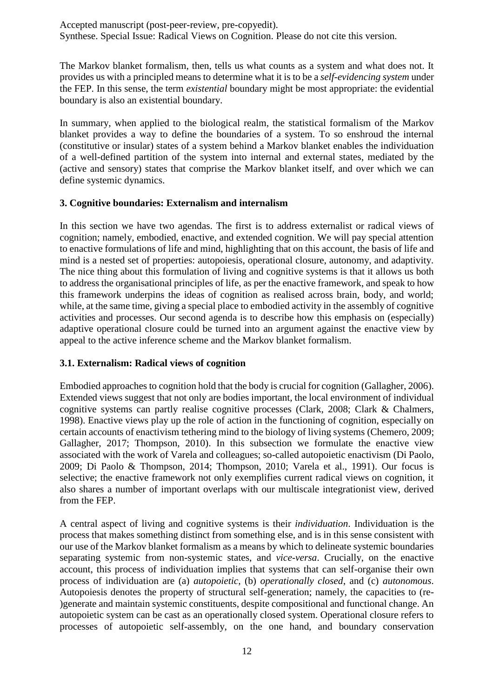The Markov blanket formalism, then, tells us what counts as a system and what does not. It provides us with a principled means to determine what it is to be a *self-evidencing system* under the FEP. In this sense, the term *existential* boundary might be most appropriate: the evidential boundary is also an existential boundary.

In summary, when applied to the biological realm, the statistical formalism of the Markov blanket provides a way to define the boundaries of a system. To so enshroud the internal (constitutive or insular) states of a system behind a Markov blanket enables the individuation of a well-defined partition of the system into internal and external states, mediated by the (active and sensory) states that comprise the Markov blanket itself, and over which we can define systemic dynamics.

## **3. Cognitive boundaries: Externalism and internalism**

In this section we have two agendas. The first is to address externalist or radical views of cognition; namely, embodied, enactive, and extended cognition. We will pay special attention to enactive formulations of life and mind, highlighting that on this account, the basis of life and mind is a nested set of properties: autopoiesis, operational closure, autonomy, and adaptivity. The nice thing about this formulation of living and cognitive systems is that it allows us both to address the organisational principles of life, as per the enactive framework, and speak to how this framework underpins the ideas of cognition as realised across brain, body, and world; while, at the same time, giving a special place to embodied activity in the assembly of cognitive activities and processes. Our second agenda is to describe how this emphasis on (especially) adaptive operational closure could be turned into an argument against the enactive view by appeal to the active inference scheme and the Markov blanket formalism.

## **3.1. Externalism: Radical views of cognition**

Embodied approaches to cognition hold that the body is crucial for cognition (Gallagher, 2006). Extended views suggest that not only are bodies important, the local environment of individual cognitive systems can partly realise cognitive processes (Clark, 2008; Clark & Chalmers, 1998). Enactive views play up the role of action in the functioning of cognition, especially on certain accounts of enactivism tethering mind to the biology of living systems (Chemero, 2009; Gallagher, 2017; Thompson, 2010). In this subsection we formulate the enactive view associated with the work of Varela and colleagues; so-called autopoietic enactivism (Di Paolo, 2009; Di Paolo & Thompson, 2014; Thompson, 2010; Varela et al., 1991). Our focus is selective; the enactive framework not only exemplifies current radical views on cognition, it also shares a number of important overlaps with our multiscale integrationist view, derived from the FEP.

A central aspect of living and cognitive systems is their *individuation*. Individuation is the process that makes something distinct from something else, and is in this sense consistent with our use of the Markov blanket formalism as a means by which to delineate systemic boundaries separating systemic from non-systemic states, and *vice-versa*. Crucially, on the enactive account, this process of individuation implies that systems that can self-organise their own process of individuation are (a) *autopoietic*, (b) *operationally closed*, and (c) *autonomous*. Autopoiesis denotes the property of structural self-generation; namely, the capacities to (re- )generate and maintain systemic constituents, despite compositional and functional change. An autopoietic system can be cast as an operationally closed system. Operational closure refers to processes of autopoietic self-assembly, on the one hand, and boundary conservation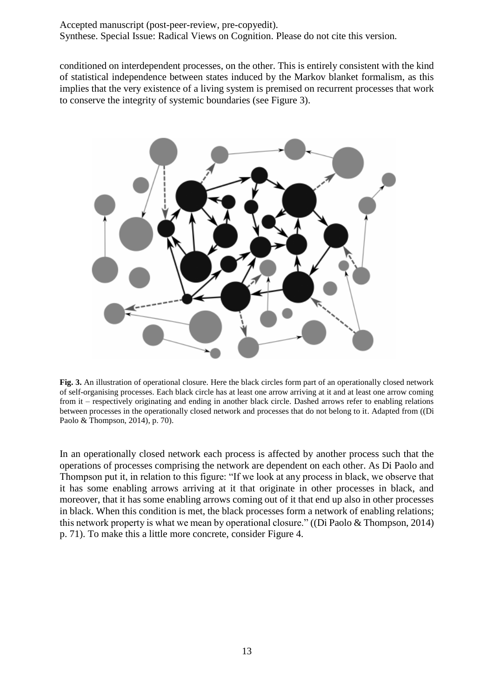conditioned on interdependent processes, on the other. This is entirely consistent with the kind of statistical independence between states induced by the Markov blanket formalism, as this implies that the very existence of a living system is premised on recurrent processes that work to conserve the integrity of systemic boundaries (see Figure 3).



**Fig. 3.** An illustration of operational closure. Here the black circles form part of an operationally closed network of self-organising processes. Each black circle has at least one arrow arriving at it and at least one arrow coming from it – respectively originating and ending in another black circle. Dashed arrows refer to enabling relations between processes in the operationally closed network and processes that do not belong to it. Adapted from ((Di Paolo & Thompson, 2014), p. 70).

In an operationally closed network each process is affected by another process such that the operations of processes comprising the network are dependent on each other. As Di Paolo and Thompson put it, in relation to this figure: "If we look at any process in black, we observe that it has some enabling arrows arriving at it that originate in other processes in black, and moreover, that it has some enabling arrows coming out of it that end up also in other processes in black. When this condition is met, the black processes form a network of enabling relations; this network property is what we mean by operational closure." ((Di Paolo & Thompson, 2014) p. 71). To make this a little more concrete, consider Figure 4.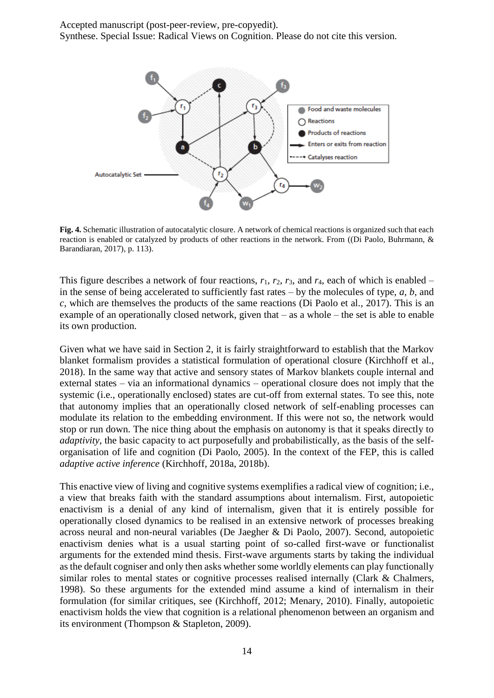

**Fig. 4.** Schematic illustration of autocatalytic closure. A network of chemical reactions is organized such that each reaction is enabled or catalyzed by products of other reactions in the network. From ((Di Paolo, Buhrmann, & Barandiaran, 2017), p. [113\)](https://paperpile.com/c/U2CQOw/xkTWU/?locator=113).

This figure describes a network of four reactions,  $r_1$ ,  $r_2$ ,  $r_3$ , and  $r_4$ , each of which is enabled – in the sense of being accelerated to sufficiently fast rates – by the molecules of type, *a*, *b*, and *c*, which are themselves the products of the same reactions (Di Paolo et al., 2017). This is an example of an operationally closed network, given that – as a whole – the set is able to enable its own production.

Given what we have said in Section 2, it is fairly straightforward to establish that the Markov blanket formalism provides a statistical formulation of operational closure (Kirchhoff et al., 2018). In the same way that active and sensory states of Markov blankets couple internal and external states – via an informational dynamics – operational closure does not imply that the systemic (i.e., operationally enclosed) states are cut-off from external states. To see this, note that autonomy implies that an operationally closed network of self-enabling processes can modulate its relation to the embedding environment. If this were not so, the network would stop or run down. The nice thing about the emphasis on autonomy is that it speaks directly to *adaptivity*, the basic capacity to act purposefully and probabilistically, as the basis of the selforganisation of life and cognition (Di Paolo, 2005). In the context of the FEP, this is called *adaptive active inference* (Kirchhoff, 2018a, 2018b).

This enactive view of living and cognitive systems exemplifies a radical view of cognition; i.e., a view that breaks faith with the standard assumptions about internalism. First, autopoietic enactivism is a denial of any kind of internalism, given that it is entirely possible for operationally closed dynamics to be realised in an extensive network of processes breaking across neural and non-neural variables (De Jaegher & Di Paolo, 2007). Second, autopoietic enactivism denies what is a usual starting point of so-called first-wave or functionalist arguments for the extended mind thesis. First-wave arguments starts by taking the individual as the default cogniser and only then asks whether some worldly elements can play functionally similar roles to mental states or cognitive processes realised internally (Clark & Chalmers, 1998). So these arguments for the extended mind assume a kind of internalism in their formulation [\(for similar critiques, see \(](https://paperpile.com/c/U2CQOw/tWgu9+rsd1e/?prefix=for%20similar%20critiques%2C%20see,)Kirchhoff, 2012; Menary, 2010). Finally, autopoietic enactivism holds the view that cognition is a relational phenomenon between an organism and its environment (Thompson & Stapleton, 2009).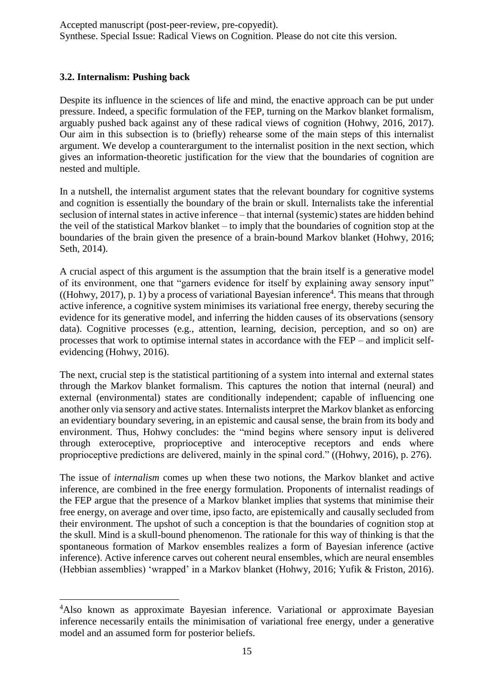### **3.2. Internalism: Pushing back**

<u>.</u>

Despite its influence in the sciences of life and mind, the enactive approach can be put under pressure. Indeed, a specific formulation of the FEP, turning on the Markov blanket formalism, arguably pushed back against any of these radical views of cognition (Hohwy, 2016, 2017). Our aim in this subsection is to (briefly) rehearse some of the main steps of this internalist argument. We develop a counterargument to the internalist position in the next section, which gives an information-theoretic justification for the view that the boundaries of cognition are nested and multiple.

In a nutshell, the internalist argument states that the relevant boundary for cognitive systems and cognition is essentially the boundary of the brain or skull. Internalists take the inferential seclusion of internal states in active inference – that internal (systemic) states are hidden behind the veil of the statistical Markov blanket – to imply that the boundaries of cognition stop at the boundaries of the brain given the presence of a brain-bound Markov blanket (Hohwy, 2016; Seth, 2014).

A crucial aspect of this argument is the assumption that the brain itself is a generative model of its environment, one that "garners evidence for itself by explaining away sensory input"  $((Hohwy, 2017), p. 1)$  by a process of variational Bayesian inference<sup>4</sup>. This means that through active inference, a cognitive system minimises its variational free energy, thereby securing the evidence for its generative model, and inferring the hidden causes of its observations (sensory data). Cognitive processes (e.g., attention, learning, decision, perception, and so on) are processes that work to optimise internal states in accordance with the FEP – and implicit selfevidencing (Hohwy, 2016).

The next, crucial step is the statistical partitioning of a system into internal and external states through the Markov blanket formalism. This captures the notion that internal (neural) and external (environmental) states are conditionally independent; capable of influencing one another only via sensory and active states. Internalists interpret the Markov blanket as enforcing an evidentiary boundary severing, in an epistemic and causal sense, the brain from its body and environment. Thus, Hohwy concludes: the "mind begins where sensory input is delivered through exteroceptive, proprioceptive and interoceptive receptors and ends where proprioceptive predictions are delivered, mainly in the spinal cord." ((Hohwy, 2016), p. 276).

The issue of *internalism* comes up when these two notions, the Markov blanket and active inference, are combined in the free energy formulation. Proponents of internalist readings of the FEP argue that the presence of a Markov blanket implies that systems that minimise their free energy, on average and over time, ipso facto, are epistemically and causally secluded from their environment. The upshot of such a conception is that the boundaries of cognition stop at the skull. Mind is a skull-bound phenomenon. The rationale for this way of thinking is that the spontaneous formation of Markov ensembles realizes a form of Bayesian inference (active inference). Active inference carves out coherent neural ensembles, which are neural ensembles (Hebbian assemblies) 'wrapped' in a Markov blanket (Hohwy, 2016; Yufik & Friston, 2016).

<sup>&</sup>lt;sup>4</sup>Also known as approximate Bayesian inference. Variational or approximate Bayesian inference necessarily entails the minimisation of variational free energy, under a generative model and an assumed form for posterior beliefs.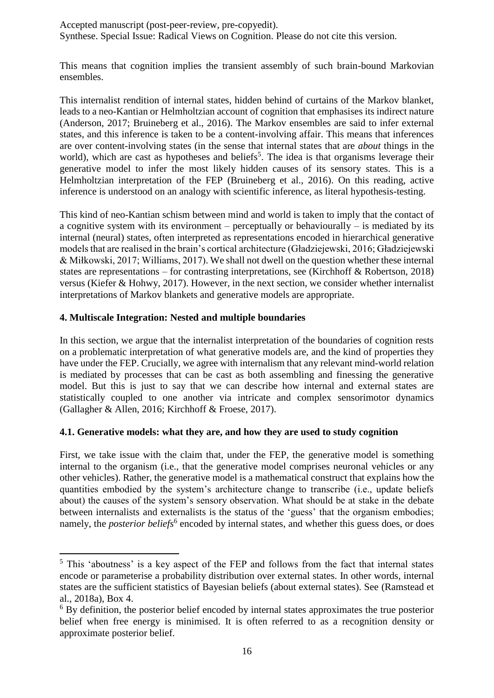This means that cognition implies the transient assembly of such brain-bound Markovian ensembles.

This internalist rendition of internal states, hidden behind of curtains of the Markov blanket, leads to a neo-Kantian or Helmholtzian account of cognition that emphasises its indirect nature (Anderson, 2017; Bruineberg et al., 2016). The Markov ensembles are said to infer external states, and this inference is taken to be a content-involving affair. This means that inferences are over content-involving states (in the sense that internal states that are *about* things in the world), which are cast as hypotheses and beliefs<sup>5</sup>. The idea is that organisms leverage their generative model to infer the most likely hidden causes of its sensory states. This is a Helmholtzian interpretation of the FEP (Bruineberg et al., 2016). On this reading, active inference is understood on an analogy with scientific inference, as literal hypothesis-testing.

This kind of neo-Kantian schism between mind and world is taken to imply that the contact of a cognitive system with its environment – perceptually or behaviourally – is mediated by its internal (neural) states, often interpreted as representations encoded in hierarchical generative models that are realised in the brain's cortical architecture (Gładziejewski, 2016; Gładziejewski & Miłkowski, 2017; Williams, 2017). We shall not dwell on the question whether these internal states are representations – for contrasting interpretations, see (Kirchhoff & Robertson, 2018) versus (Kiefer & Hohwy, 2017). However, in the next section, we consider whether internalist interpretations of Markov blankets and generative models are appropriate.

## **4. Multiscale Integration: Nested and multiple boundaries**

1

In this section, we argue that the internalist interpretation of the boundaries of cognition rests on a problematic interpretation of what generative models are, and the kind of properties they have under the FEP. Crucially, we agree with internalism that any relevant mind-world relation is mediated by processes that can be cast as both assembling and finessing the generative model. But this is just to say that we can describe how internal and external states are statistically coupled to one another via intricate and complex sensorimotor dynamics (Gallagher & Allen, 2016; Kirchhoff & Froese, 2017).

#### **4.1. Generative models: what they are, and how they are used to study cognition**

First, we take issue with the claim that, under the FEP, the generative model is something internal to the organism (i.e., that the generative model comprises neuronal vehicles or any other vehicles). Rather, the generative model is a mathematical construct that explains how the quantities embodied by the system's architecture change to transcribe (i.e., update beliefs about) the causes of the system's sensory observation. What should be at stake in the debate between internalists and externalists is the status of the 'guess' that the organism embodies; namely, the *posterior beliefs*<sup>6</sup> encoded by internal states, and whether this guess does, or does

<sup>5</sup> This 'aboutness' is a key aspect of the FEP and follows from the fact that internal states encode or parameterise a probability distribution over external states. In other words, internal states are the sufficient statistics of Bayesian beliefs (about external states). See (Ramstead et al., 2018a), Box 4.

 $6$  By definition, the posterior belief encoded by internal states approximates the true posterior belief when free energy is minimised. It is often referred to as a recognition density or approximate posterior belief.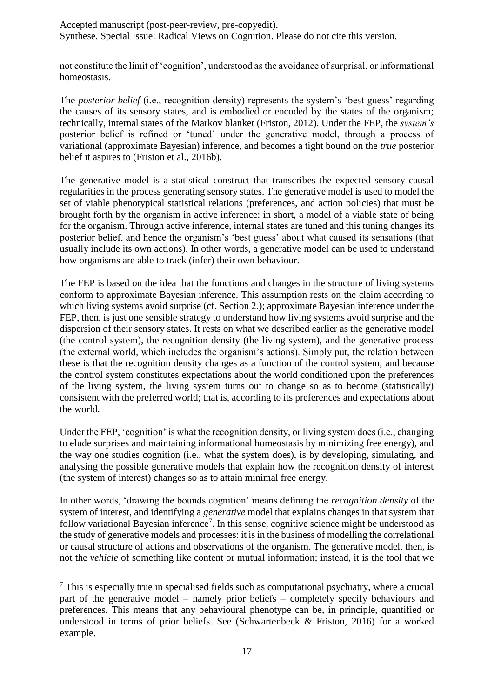not constitute the limit of 'cognition', understood as the avoidance of surprisal, or informational homeostasis.

The *posterior belief* (i.e., recognition density) represents the system's 'best guess' regarding the causes of its sensory states, and is embodied or encoded by the states of the organism; technically, internal states of the Markov blanket (Friston, 2012). Under the FEP, the *system's* posterior belief is refined or 'tuned' under the generative model, through a process of variational (approximate Bayesian) inference, and becomes a tight bound on the *true* posterior belief it aspires to (Friston et al., 2016b).

The generative model is a statistical construct that transcribes the expected sensory causal regularities in the process generating sensory states. The generative model is used to model the set of viable phenotypical statistical relations (preferences, and action policies) that must be brought forth by the organism in active inference: in short, a model of a viable state of being for the organism. Through active inference, internal states are tuned and this tuning changes its posterior belief, and hence the organism's 'best guess' about what caused its sensations (that usually include its own actions). In other words, a generative model can be used to understand how organisms are able to track (infer) their own behaviour.

The FEP is based on the idea that the functions and changes in the structure of living systems conform to approximate Bayesian inference. This assumption rests on the claim according to which living systems avoid surprise (cf. Section 2.); approximate Bayesian inference under the FEP, then, is just one sensible strategy to understand how living systems avoid surprise and the dispersion of their sensory states. It rests on what we described earlier as the generative model (the control system), the recognition density (the living system), and the generative process (the external world, which includes the organism's actions). Simply put, the relation between these is that the recognition density changes as a function of the control system; and because the control system constitutes expectations about the world conditioned upon the preferences of the living system, the living system turns out to change so as to become (statistically) consistent with the preferred world; that is, according to its preferences and expectations about the world.

Under the FEP, 'cognition' is what the recognition density, or living system does (i.e., changing to elude surprises and maintaining informational homeostasis by minimizing free energy), and the way one studies cognition (i.e., what the system does), is by developing, simulating, and analysing the possible generative models that explain how the recognition density of interest (the system of interest) changes so as to attain minimal free energy.

In other words, 'drawing the bounds cognition' means defining the *recognition density* of the system of interest, and identifying a *generative* model that explains changes in that system that follow variational Bayesian inference<sup>7</sup>. In this sense, cognitive science might be understood as the study of generative models and processes: it is in the business of modelling the correlational or causal structure of actions and observations of the organism. The generative model, then, is not the *vehicle* of something like content or mutual information; instead, it is the tool that we

1

 $<sup>7</sup>$  This is especially true in specialised fields such as computational psychiatry, where a crucial</sup> part of the generative model – namely prior beliefs – completely specify behaviours and preferences. This means that any behavioural phenotype can be, in principle, quantified or understood in terms of prior beliefs. See (Schwartenbeck & Friston, 2016) for a worked example.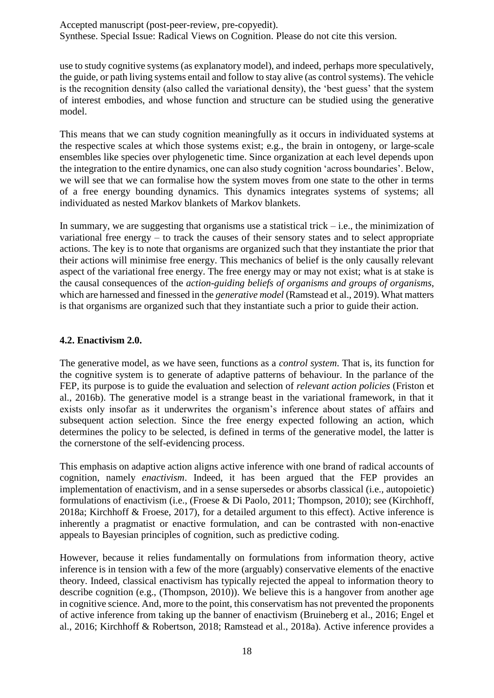use to study cognitive systems (as explanatory model), and indeed, perhaps more speculatively, the guide, or path living systems entail and follow to stay alive (as control systems). The vehicle is the recognition density (also called the variational density), the 'best guess' that the system of interest embodies, and whose function and structure can be studied using the generative model.

This means that we can study cognition meaningfully as it occurs in individuated systems at the respective scales at which those systems exist; e.g., the brain in ontogeny, or large-scale ensembles like species over phylogenetic time. Since organization at each level depends upon the integration to the entire dynamics, one can also study cognition 'across boundaries'. Below, we will see that we can formalise how the system moves from one state to the other in terms of a free energy bounding dynamics. This dynamics integrates systems of systems; all individuated as nested Markov blankets of Markov blankets.

In summary, we are suggesting that organisms use a statistical trick  $-$  i.e., the minimization of variational free energy – to track the causes of their sensory states and to select appropriate actions. The key is to note that organisms are organized such that they instantiate the prior that their actions will minimise free energy. This mechanics of belief is the only causally relevant aspect of the variational free energy. The free energy may or may not exist; what is at stake is the causal consequences of the *action-guiding beliefs of organisms and groups of organisms*, which are harnessed and finessed in the *generative model* (Ramstead et al., 2019). What matters is that organisms are organized such that they instantiate such a prior to guide their action.

### **4.2. Enactivism 2.0.**

The generative model, as we have seen, functions as a *control system*. That is, its function for the cognitive system is to generate of adaptive patterns of behaviour. In the parlance of the FEP, its purpose is to guide the evaluation and selection of *relevant action policies* (Friston et al., 2016b). The generative model is a strange beast in the variational framework, in that it exists only insofar as it underwrites the organism's inference about states of affairs and subsequent action selection. Since the free energy expected following an action, which determines the policy to be selected, is defined in terms of the generative model, the latter is the cornerstone of the self-evidencing process.

This emphasis on adaptive action aligns active inference with one brand of radical accounts of cognition, namely *enactivism*. Indeed, it has been argued that the FEP provides an implementation of enactivism, and in a sense supersedes or absorbs classical (i.e., autopoietic) formulations of enactivism (i.e., (Froese & Di Paolo, 2011; Thompson, 2010); see (Kirchhoff, 2018a; Kirchhoff & Froese, 2017), for a detailed argument to this effect). Active inference is inherently a pragmatist or enactive formulation, and can be contrasted with non-enactive appeals to Bayesian principles of cognition, such as predictive coding.

However, because it relies fundamentally on formulations from information theory, active inference is in tension with a few of the more (arguably) conservative elements of the enactive theory. Indeed, classical enactivism has typically rejected the appeal to information theory to describe cognition (e.g., (Thompson, 2010)). We believe this is a hangover from another age in cognitive science. And, more to the point, this conservatism has not prevented the proponents of active inference from taking up the banner of enactivism (Bruineberg et al., 2016; Engel et al., 2016; Kirchhoff & Robertson, 2018; Ramstead et al., 2018a). Active inference provides a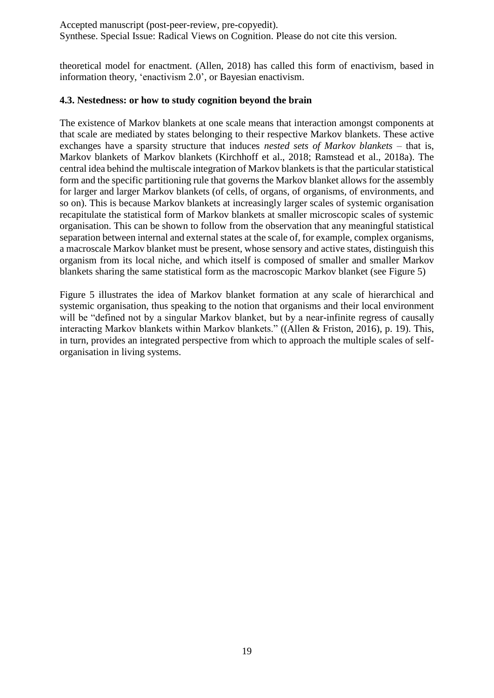theoretical model for enactment. (Allen, 2018) has called this form of enactivism, based in information theory, 'enactivism 2.0', or Bayesian enactivism.

#### **4.3. Nestedness: or how to study cognition beyond the brain**

The existence of Markov blankets at one scale means that interaction amongst components at that scale are mediated by states belonging to their respective Markov blankets. These active exchanges have a sparsity structure that induces *nested sets of Markov blankets* – that is, Markov blankets of Markov blankets (Kirchhoff et al., 2018; Ramstead et al., 2018a). The central idea behind the multiscale integration of Markov blankets is that the particular statistical form and the specific partitioning rule that governs the Markov blanket allows for the assembly for larger and larger Markov blankets (of cells, of organs, of organisms, of environments, and so on). This is because Markov blankets at increasingly larger scales of systemic organisation recapitulate the statistical form of Markov blankets at smaller microscopic scales of systemic organisation. This can be shown to follow from the observation that any meaningful statistical separation between internal and external states at the scale of, for example, complex organisms, a macroscale Markov blanket must be present, whose sensory and active states, distinguish this organism from its local niche, and which itself is composed of smaller and smaller Markov blankets sharing the same statistical form as the macroscopic Markov blanket (see Figure 5)

Figure 5 illustrates the idea of Markov blanket formation at any scale of hierarchical and systemic organisation, thus speaking to the notion that organisms and their local environment will be "defined not by a singular Markov blanket, but by a near-infinite regress of causally interacting Markov blankets within Markov blankets." ((Allen & Friston, 2016), p. 19). This, in turn, provides an integrated perspective from which to approach the multiple scales of selforganisation in living systems.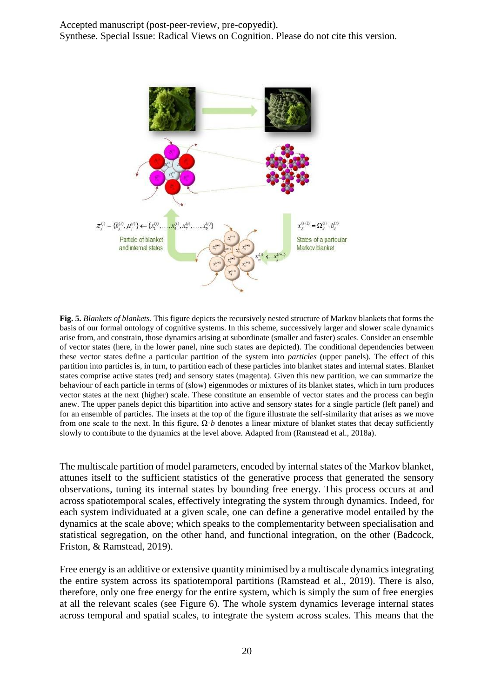

**Fig. 5.** *Blankets of blankets*. This figure depicts the recursively nested structure of Markov blankets that forms the basis of our formal ontology of cognitive systems. In this scheme, successively larger and slower scale dynamics arise from, and constrain, those dynamics arising at subordinate (smaller and faster) scales. Consider an ensemble of vector states (here, in the lower panel, nine such states are depicted). The conditional dependencies between these vector states define a particular partition of the system into *particles* (upper panels). The effect of this partition into particles is, in turn, to partition each of these particles into blanket states and internal states. Blanket states comprise active states (red) and sensory states (magenta). Given this new partition, we can summarize the behaviour of each particle in terms of (slow) eigenmodes or mixtures of its blanket states, which in turn produces vector states at the next (higher) scale. These constitute an ensemble of vector states and the process can begin anew. The upper panels depict this bipartition into active and sensory states for a single particle (left panel) and for an ensemble of particles. The insets at the top of the figure illustrate the self-similarity that arises as we move from one scale to the next. In this figure,  $\Omega$ *·b* denotes a linear mixture of blanket states that decay sufficiently slowly to contribute to the dynamics at the level above. Adapted from (Ramstead et al., 2018a).

The multiscale partition of model parameters, encoded by internal states of the Markov blanket, attunes itself to the sufficient statistics of the generative process that generated the sensory observations, tuning its internal states by bounding free energy. This process occurs at and across spatiotemporal scales, effectively integrating the system through dynamics. Indeed, for each system individuated at a given scale, one can define a generative model entailed by the dynamics at the scale above; which speaks to the complementarity between specialisation and statistical segregation, on the other hand, and functional integration, on the other (Badcock, Friston, & Ramstead, 2019).

Free energy is an additive or extensive quantity minimised by a multiscale dynamics integrating the entire system across its spatiotemporal partitions (Ramstead et al., 2019). There is also, therefore, only one free energy for the entire system, which is simply the sum of free energies at all the relevant scales (see Figure 6). The whole system dynamics leverage internal states across temporal and spatial scales, to integrate the system across scales. This means that the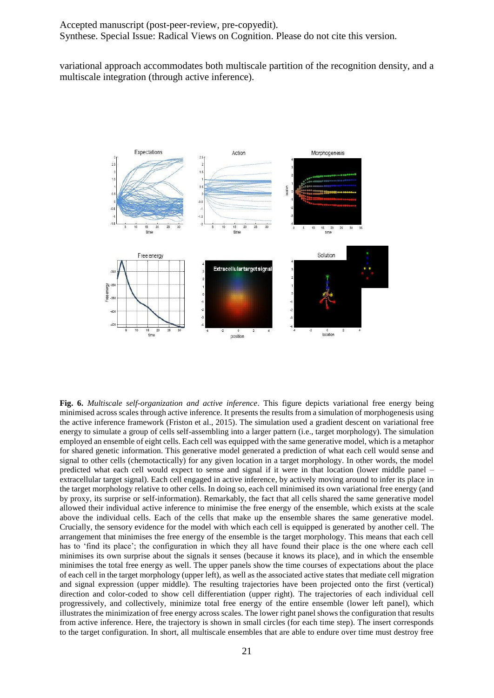variational approach accommodates both multiscale partition of the recognition density, and a multiscale integration (through active inference).



**Fig. 6.** *Multiscale self-organization and active inference*. This figure depicts variational free energy being minimised across scales through active inference. It presents the results from a simulation of morphogenesis using the active inference framework (Friston et al., 2015). The simulation used a gradient descent on variational free energy to simulate a group of cells self-assembling into a larger pattern (i.e., target morphology). The simulation employed an ensemble of eight cells. Each cell was equipped with the same generative model, which is a metaphor for shared genetic information. This generative model generated a prediction of what each cell would sense and signal to other cells (chemotactically) for any given location in a target morphology. In other words, the model predicted what each cell would expect to sense and signal if it were in that location (lower middle panel – extracellular target signal). Each cell engaged in active inference, by actively moving around to infer its place in the target morphology relative to other cells. In doing so, each cell minimised its own variational free energy (and by proxy, its surprise or self-information). Remarkably, the fact that all cells shared the same generative model allowed their individual active inference to minimise the free energy of the ensemble, which exists at the scale above the individual cells. Each of the cells that make up the ensemble shares the same generative model. Crucially, the sensory evidence for the model with which each cell is equipped is generated by another cell. The arrangement that minimises the free energy of the ensemble is the target morphology. This means that each cell has to 'find its place'; the configuration in which they all have found their place is the one where each cell minimises its own surprise about the signals it senses (because it knows its place), and in which the ensemble minimises the total free energy as well. The upper panels show the time courses of expectations about the place of each cell in the target morphology (upper left), as well as the associated active states that mediate cell migration and signal expression (upper middle). The resulting trajectories have been projected onto the first (vertical) direction and color-coded to show cell differentiation (upper right). The trajectories of each individual cell progressively, and collectively, minimize total free energy of the entire ensemble (lower left panel), which illustrates the minimization of free energy across scales. The lower right panel shows the configuration that results from active inference. Here, the trajectory is shown in small circles (for each time step). The insert corresponds to the target configuration. In short, all multiscale ensembles that are able to endure over time must destroy free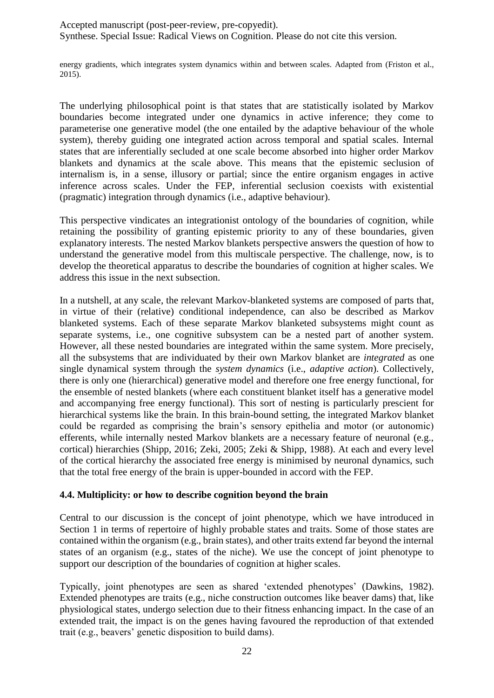energy gradients, which integrates system dynamics within and between scales. Adapted from (Friston et al., 2015).

The underlying philosophical point is that states that are statistically isolated by Markov boundaries become integrated under one dynamics in active inference; they come to parameterise one generative model (the one entailed by the adaptive behaviour of the whole system), thereby guiding one integrated action across temporal and spatial scales. Internal states that are inferentially secluded at one scale become absorbed into higher order Markov blankets and dynamics at the scale above. This means that the epistemic seclusion of internalism is, in a sense, illusory or partial; since the entire organism engages in active inference across scales. Under the FEP, inferential seclusion coexists with existential (pragmatic) integration through dynamics (i.e., adaptive behaviour).

This perspective vindicates an integrationist ontology of the boundaries of cognition, while retaining the possibility of granting epistemic priority to any of these boundaries, given explanatory interests. The nested Markov blankets perspective answers the question of how to understand the generative model from this multiscale perspective. The challenge, now, is to develop the theoretical apparatus to describe the boundaries of cognition at higher scales. We address this issue in the next subsection.

In a nutshell, at any scale, the relevant Markov-blanketed systems are composed of parts that, in virtue of their (relative) conditional independence, can also be described as Markov blanketed systems. Each of these separate Markov blanketed subsystems might count as separate systems, i.e., one cognitive subsystem can be a nested part of another system. However, all these nested boundaries are integrated within the same system. More precisely, all the subsystems that are individuated by their own Markov blanket are *integrated* as one single dynamical system through the *system dynamics* (i.e., *adaptive action*). Collectively, there is only one (hierarchical) generative model and therefore one free energy functional, for the ensemble of nested blankets (where each constituent blanket itself has a generative model and accompanying free energy functional). This sort of nesting is particularly prescient for hierarchical systems like the brain. In this brain-bound setting, the integrated Markov blanket could be regarded as comprising the brain's sensory epithelia and motor (or autonomic) efferents, while internally nested Markov blankets are a necessary feature of neuronal (e.g., cortical) hierarchies (Shipp, 2016; Zeki, 2005; Zeki & Shipp, 1988). At each and every level of the cortical hierarchy the associated free energy is minimised by neuronal dynamics, such that the total free energy of the brain is upper-bounded in accord with the FEP.

#### **4.4. Multiplicity: or how to describe cognition beyond the brain**

Central to our discussion is the concept of joint phenotype, which we have introduced in Section 1 in terms of repertoire of highly probable states and traits. Some of those states are contained within the organism (e.g., brain states), and other traits extend far beyond the internal states of an organism (e.g., states of the niche). We use the concept of joint phenotype to support our description of the boundaries of cognition at higher scales.

Typically, joint phenotypes are seen as shared 'extended phenotypes' (Dawkins, 1982). Extended phenotypes are traits (e.g., niche construction outcomes like beaver dams) that, like physiological states, undergo selection due to their fitness enhancing impact. In the case of an extended trait, the impact is on the genes having favoured the reproduction of that extended trait (e.g., beavers' genetic disposition to build dams).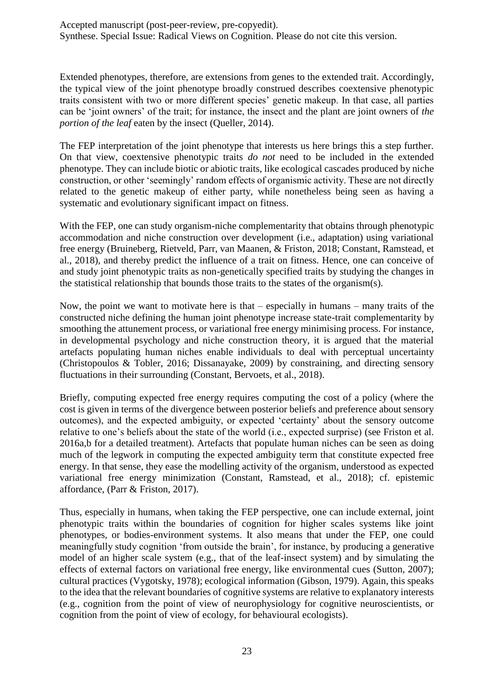Extended phenotypes, therefore, are extensions from genes to the extended trait. Accordingly, the typical view of the joint phenotype broadly construed describes coextensive phenotypic traits consistent with two or more different species' genetic makeup. In that case, all parties can be 'joint owners' of the trait; for instance, the insect and the plant are joint owners of *the portion of the leaf* eaten by the insect (Queller, 2014).

The FEP interpretation of the joint phenotype that interests us here brings this a step further. On that view, coextensive phenotypic traits *do not* need to be included in the extended phenotype. They can include biotic or abiotic traits, like ecological cascades produced by niche construction, or other 'seemingly' random effects of organismic activity. These are not directly related to the genetic makeup of either party, while nonetheless being seen as having a systematic and evolutionary significant impact on fitness.

With the FEP, one can study organism-niche complementarity that obtains through phenotypic accommodation and niche construction over development (i.e., adaptation) using variational free energy (Bruineberg, Rietveld, Parr, van Maanen, & Friston, 2018; Constant, Ramstead, et al., 2018), and thereby predict the influence of a trait on fitness. Hence, one can conceive of and study joint phenotypic traits as non-genetically specified traits by studying the changes in the statistical relationship that bounds those traits to the states of the organism(s).

Now, the point we want to motivate here is that – especially in humans – many traits of the constructed niche defining the human joint phenotype increase state-trait complementarity by smoothing the attunement process, or variational free energy minimising process. For instance, in developmental psychology and niche construction theory, it is argued that the material artefacts populating human niches enable individuals to deal with perceptual uncertainty (Christopoulos & Tobler, 2016; Dissanayake, 2009) by constraining, and directing sensory fluctuations in their surrounding (Constant, Bervoets, et al., 2018).

Briefly, computing expected free energy requires computing the cost of a policy (where the cost is given in terms of the divergence between posterior beliefs and preference about sensory outcomes), and the expected ambiguity, or expected 'certainty' about the sensory outcome relative to one's beliefs about the state of the world (i.e., expected surprise) [\(see Friston et al.](https://paperpile.com/c/U2CQOw/yClsN/?prefix=see&suffix=for%20a%20detailed%20treatment)  2016a,b [for a detailed treatment\).](https://paperpile.com/c/U2CQOw/yClsN/?prefix=see&suffix=for%20a%20detailed%20treatment) Artefacts that populate human niches can be seen as doing much of the legwork in computing the expected ambiguity term that constitute expected free energy. In that sense, they ease the modelling activity of the organism, understood as expected variational free energy minimization (Constant, Ramstead, et al., 2018); cf. epistemic affordance, (Parr & Friston, 2017).

Thus, especially in humans, when taking the FEP perspective, one can include external, joint phenotypic traits within the boundaries of cognition for higher scales systems like joint phenotypes, or bodies-environment systems. It also means that under the FEP, one could meaningfully study cognition 'from outside the brain', for instance, by producing a generative model of an higher scale system (e.g., that of the leaf-insect system) and by simulating the effects of external factors on variational free energy, like environmental cues (Sutton, 2007); cultural practices (Vygotsky, 1978); ecological information (Gibson, 1979). Again, this speaks to the idea that the relevant boundaries of cognitive systems are relative to explanatory interests (e.g., cognition from the point of view of neurophysiology for cognitive neuroscientists, or cognition from the point of view of ecology, for behavioural ecologists).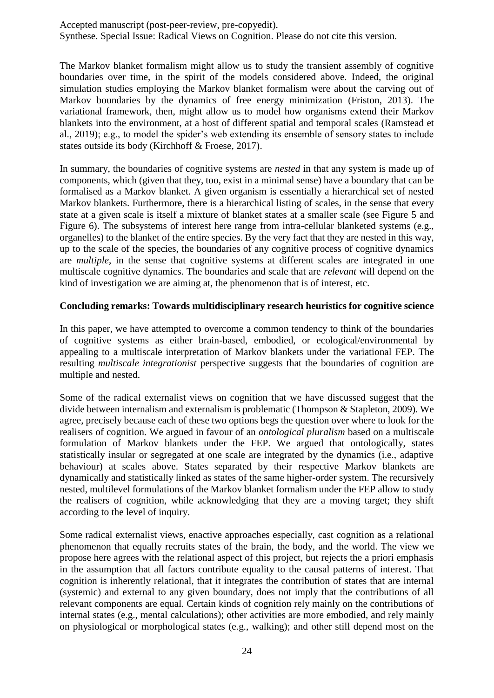The Markov blanket formalism might allow us to study the transient assembly of cognitive boundaries over time, in the spirit of the models considered above. Indeed, the original simulation studies employing the Markov blanket formalism were about the carving out of Markov boundaries by the dynamics of free energy minimization (Friston, 2013). The variational framework, then, might allow us to model how organisms extend their Markov blankets into the environment, at a host of different spatial and temporal scales (Ramstead et al., 2019); e.g., to model the spider's web extending its ensemble of sensory states to include states outside its body (Kirchhoff & Froese, 2017).

In summary, the boundaries of cognitive systems are *nested* in that any system is made up of components, which (given that they, too, exist in a minimal sense) have a boundary that can be formalised as a Markov blanket. A given organism is essentially a hierarchical set of nested Markov blankets. Furthermore, there is a hierarchical listing of scales, in the sense that every state at a given scale is itself a mixture of blanket states at a smaller scale (see Figure 5 and Figure 6). The subsystems of interest here range from intra-cellular blanketed systems (e.g., organelles) to the blanket of the entire species. By the very fact that they are nested in this way, up to the scale of the species, the boundaries of any cognitive process of cognitive dynamics are *multiple*, in the sense that cognitive systems at different scales are integrated in one multiscale cognitive dynamics. The boundaries and scale that are *relevant* will depend on the kind of investigation we are aiming at, the phenomenon that is of interest, etc.

### **Concluding remarks: Towards multidisciplinary research heuristics for cognitive science**

In this paper, we have attempted to overcome a common tendency to think of the boundaries of cognitive systems as either brain-based, embodied, or ecological/environmental by appealing to a multiscale interpretation of Markov blankets under the variational FEP. The resulting *multiscale integrationist* perspective suggests that the boundaries of cognition are multiple and nested.

Some of the radical externalist views on cognition that we have discussed suggest that the divide between internalism and externalism is problematic (Thompson & Stapleton, 2009). We agree, precisely because each of these two options begs the question over where to look for the realisers of cognition. We argued in favour of an *ontological pluralism* based on a multiscale formulation of Markov blankets under the FEP. We argued that ontologically, states statistically insular or segregated at one scale are integrated by the dynamics (i.e., adaptive behaviour) at scales above. States separated by their respective Markov blankets are dynamically and statistically linked as states of the same higher-order system. The recursively nested, multilevel formulations of the Markov blanket formalism under the FEP allow to study the realisers of cognition, while acknowledging that they are a moving target; they shift according to the level of inquiry.

Some radical externalist views, enactive approaches especially, cast cognition as a relational phenomenon that equally recruits states of the brain, the body, and the world. The view we propose here agrees with the relational aspect of this project, but rejects the a priori emphasis in the assumption that all factors contribute equality to the causal patterns of interest. That cognition is inherently relational, that it integrates the contribution of states that are internal (systemic) and external to any given boundary, does not imply that the contributions of all relevant components are equal. Certain kinds of cognition rely mainly on the contributions of internal states (e.g., mental calculations); other activities are more embodied, and rely mainly on physiological or morphological states (e.g., walking); and other still depend most on the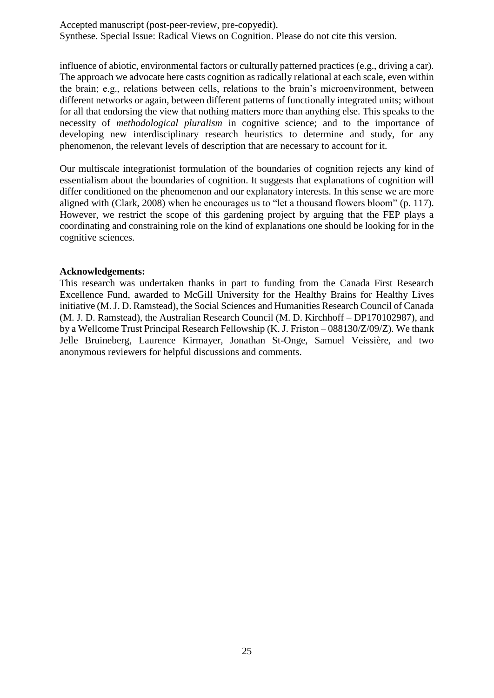influence of abiotic, environmental factors or culturally patterned practices (e.g., driving a car). The approach we advocate here casts cognition as radically relational at each scale, even within the brain; e.g., relations between cells, relations to the brain's microenvironment, between different networks or again, between different patterns of functionally integrated units; without for all that endorsing the view that nothing matters more than anything else. This speaks to the necessity of *methodological pluralism* in cognitive science; and to the importance of developing new interdisciplinary research heuristics to determine and study, for any phenomenon, the relevant levels of description that are necessary to account for it.

Our multiscale integrationist formulation of the boundaries of cognition rejects any kind of essentialism about the boundaries of cognition. It suggests that explanations of cognition will differ conditioned on the phenomenon and our explanatory interests. In this sense we are more aligned with (Clark, 2008) when he encourages us to "let a thousand flowers bloom" (p. 117). However, we restrict the scope of this gardening project by arguing that the FEP plays a coordinating and constraining role on the kind of explanations one should be looking for in the cognitive sciences.

#### **Acknowledgements:**

This research was undertaken thanks in part to funding from the Canada First Research Excellence Fund, awarded to McGill University for the Healthy Brains for Healthy Lives initiative (M. J. D. Ramstead), the Social Sciences and Humanities Research Council of Canada (M. J. D. Ramstead), the Australian Research Council (M. D. Kirchhoff – DP170102987), and by a Wellcome Trust Principal Research Fellowship (K. J. Friston – 088130/Z/09/Z). We thank Jelle Bruineberg, Laurence Kirmayer, Jonathan St-Onge, Samuel Veissière, and two anonymous reviewers for helpful discussions and comments.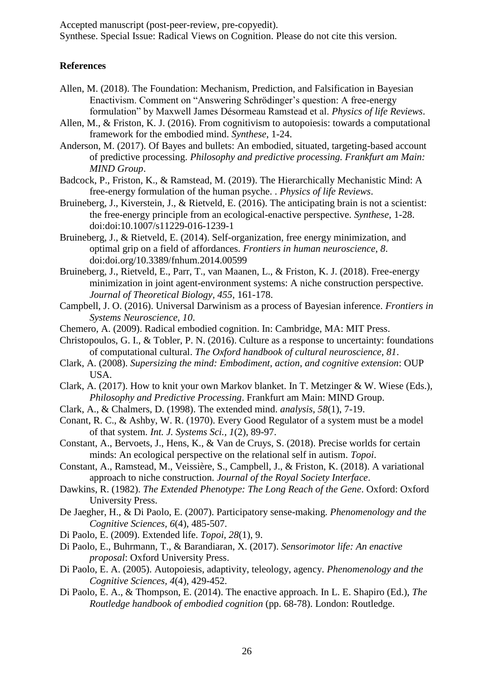#### **References**

- Allen, M. (2018). The Foundation: Mechanism, Prediction, and Falsification in Bayesian Enactivism. Comment on "Answering Schrödinger's question: A free-energy formulation" by Maxwell James Désormeau Ramstead et al. *Physics of life Reviews*.
- Allen, M., & Friston, K. J. (2016). From cognitivism to autopoiesis: towards a computational framework for the embodied mind. *Synthese*, 1-24.
- Anderson, M. (2017). Of Bayes and bullets: An embodied, situated, targeting-based account of predictive processing. *Philosophy and predictive processing. Frankfurt am Main: MIND Group*.
- Badcock, P., Friston, K., & Ramstead, M. (2019). The Hierarchically Mechanistic Mind: A free-energy formulation of the human psyche. . *Physics of life Reviews*.
- Bruineberg, J., Kiverstein, J., & Rietveld, E. (2016). The anticipating brain is not a scientist: the free-energy principle from an ecological-enactive perspective. *Synthese*, 1-28. doi:doi:10.1007/s11229-016-1239-1
- Bruineberg, J., & Rietveld, E. (2014). Self-organization, free energy minimization, and optimal grip on a field of affordances. *Frontiers in human neuroscience, 8*. doi:doi.org/10.3389/fnhum.2014.00599
- Bruineberg, J., Rietveld, E., Parr, T., van Maanen, L., & Friston, K. J. (2018). Free-energy minimization in joint agent-environment systems: A niche construction perspective. *Journal of Theoretical Biology, 455*, 161-178.
- Campbell, J. O. (2016). Universal Darwinism as a process of Bayesian inference. *Frontiers in Systems Neuroscience, 10*.
- Chemero, A. (2009). Radical embodied cognition. In: Cambridge, MA: MIT Press.
- Christopoulos, G. I., & Tobler, P. N. (2016). Culture as a response to uncertainty: foundations of computational cultural. *The Oxford handbook of cultural neuroscience, 81*.
- Clark, A. (2008). *Supersizing the mind: Embodiment, action, and cognitive extension*: OUP USA.
- Clark, A. (2017). How to knit your own Markov blanket. In T. Metzinger & W. Wiese (Eds.), *Philosophy and Predictive Processing*. Frankfurt am Main: MIND Group.
- Clark, A., & Chalmers, D. (1998). The extended mind. *analysis, 58*(1), 7-19.
- Conant, R. C., & Ashby, W. R. (1970). Every Good Regulator of a system must be a model of that system. *Int. J. Systems Sci., 1*(2), 89-97.
- Constant, A., Bervoets, J., Hens, K., & Van de Cruys, S. (2018). Precise worlds for certain minds: An ecological perspective on the relational self in autism. *Topoi*.
- Constant, A., Ramstead, M., Veissière, S., Campbell, J., & Friston, K. (2018). A variational approach to niche construction. *Journal of the Royal Society Interface*.
- Dawkins, R. (1982). *The Extended Phenotype: The Long Reach of the Gene*. Oxford: Oxford University Press.
- De Jaegher, H., & Di Paolo, E. (2007). Participatory sense-making. *Phenomenology and the Cognitive Sciences, 6*(4), 485-507.
- Di Paolo, E. (2009). Extended life. *Topoi, 28*(1), 9.
- Di Paolo, E., Buhrmann, T., & Barandiaran, X. (2017). *Sensorimotor life: An enactive proposal*: Oxford University Press.
- Di Paolo, E. A. (2005). Autopoiesis, adaptivity, teleology, agency. *Phenomenology and the Cognitive Sciences, 4*(4), 429-452.
- Di Paolo, E. A., & Thompson, E. (2014). The enactive approach. In L. E. Shapiro (Ed.), *The Routledge handbook of embodied cognition* (pp. 68-78). London: Routledge.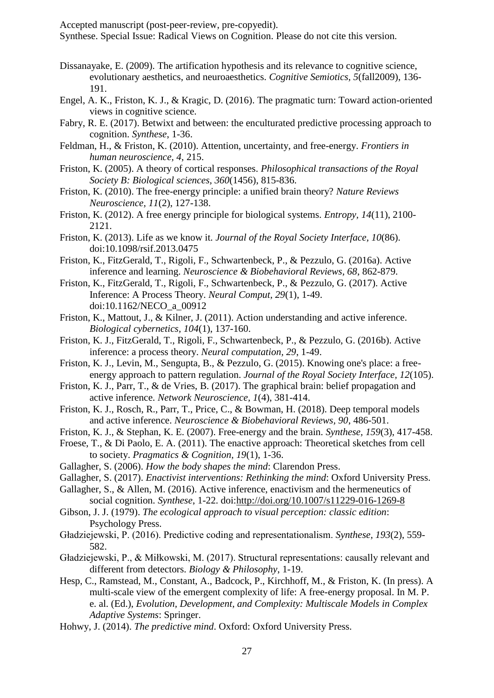Accepted manuscript (post-peer-review, pre-copyedit).

Synthese. Special Issue: Radical Views on Cognition. Please do not cite this version.

- Dissanayake, E. (2009). The artification hypothesis and its relevance to cognitive science, evolutionary aesthetics, and neuroaesthetics. *Cognitive Semiotics, 5*(fall2009), 136- 191.
- Engel, A. K., Friston, K. J., & Kragic, D. (2016). The pragmatic turn: Toward action-oriented views in cognitive science.
- Fabry, R. E. (2017). Betwixt and between: the enculturated predictive processing approach to cognition. *Synthese*, 1-36.
- Feldman, H., & Friston, K. (2010). Attention, uncertainty, and free-energy. *Frontiers in human neuroscience, 4*, 215.
- Friston, K. (2005). A theory of cortical responses. *Philosophical transactions of the Royal Society B: Biological sciences, 360*(1456), 815-836.
- Friston, K. (2010). The free-energy principle: a unified brain theory? *Nature Reviews Neuroscience, 11*(2), 127-138.
- Friston, K. (2012). A free energy principle for biological systems. *Entropy, 14*(11), 2100- 2121.
- Friston, K. (2013). Life as we know it. *Journal of the Royal Society Interface, 10*(86). doi:10.1098/rsif.2013.0475
- Friston, K., FitzGerald, T., Rigoli, F., Schwartenbeck, P., & Pezzulo, G. (2016a). Active inference and learning. *Neuroscience & Biobehavioral Reviews, 68*, 862-879.
- Friston, K., FitzGerald, T., Rigoli, F., Schwartenbeck, P., & Pezzulo, G. (2017). Active Inference: A Process Theory. *Neural Comput, 29*(1), 1-49. doi:10.1162/NECO\_a\_00912
- Friston, K., Mattout, J., & Kilner, J. (2011). Action understanding and active inference. *Biological cybernetics, 104*(1), 137-160.
- Friston, K. J., FitzGerald, T., Rigoli, F., Schwartenbeck, P., & Pezzulo, G. (2016b). Active inference: a process theory. *Neural computation, 29*, 1-49.
- Friston, K. J., Levin, M., Sengupta, B., & Pezzulo, G. (2015). Knowing one's place: a freeenergy approach to pattern regulation. *Journal of the Royal Society Interface, 12*(105).
- Friston, K. J., Parr, T., & de Vries, B. (2017). The graphical brain: belief propagation and active inference. *Network Neuroscience, 1*(4), 381-414.
- Friston, K. J., Rosch, R., Parr, T., Price, C., & Bowman, H. (2018). Deep temporal models and active inference. *Neuroscience & Biobehavioral Reviews, 90*, 486-501.
- Friston, K. J., & Stephan, K. E. (2007). Free-energy and the brain. *Synthese, 159*(3), 417-458.
- Froese, T., & Di Paolo, E. A. (2011). The enactive approach: Theoretical sketches from cell to society. *Pragmatics & Cognition, 19*(1), 1-36.
- Gallagher, S. (2006). *How the body shapes the mind*: Clarendon Press.
- Gallagher, S. (2017). *Enactivist interventions: Rethinking the mind*: Oxford University Press.
- Gallagher, S., & Allen, M. (2016). Active inference, enactivism and the hermeneutics of social cognition. *Synthese*, 1-22. doi[:http://doi.org/10.1007/s11229-016-1269-8](http://doi.org/10.1007/s11229-016-1269-8)
- Gibson, J. J. (1979). *The ecological approach to visual perception: classic edition*: Psychology Press.
- Gładziejewski, P. (2016). Predictive coding and representationalism. *Synthese, 193*(2), 559- 582.
- Gładziejewski, P., & Miłkowski, M. (2017). Structural representations: causally relevant and different from detectors. *Biology & Philosophy*, 1-19.
- Hesp, C., Ramstead, M., Constant, A., Badcock, P., Kirchhoff, M., & Friston, K. (In press). A multi-scale view of the emergent complexity of life: A free-energy proposal. In M. P. e. al. (Ed.), *Evolution, Development, and Complexity: Multiscale Models in Complex Adaptive Systems*: Springer.
- Hohwy, J. (2014). *The predictive mind*. Oxford: Oxford University Press.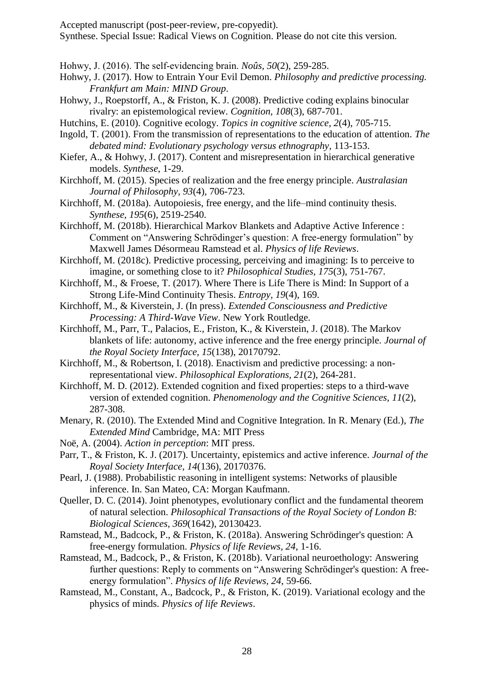Hohwy, J. (2016). The self‐evidencing brain. *Noûs, 50*(2), 259-285.

- Hohwy, J. (2017). How to Entrain Your Evil Demon. *Philosophy and predictive processing. Frankfurt am Main: MIND Group*.
- Hohwy, J., Roepstorff, A., & Friston, K. J. (2008). Predictive coding explains binocular rivalry: an epistemological review. *Cognition, 108*(3), 687-701.
- Hutchins, E. (2010). Cognitive ecology. *Topics in cognitive science, 2*(4), 705-715.
- Ingold, T. (2001). From the transmission of representations to the education of attention. *The debated mind: Evolutionary psychology versus ethnography*, 113-153.
- Kiefer, A., & Hohwy, J. (2017). Content and misrepresentation in hierarchical generative models. *Synthese*, 1-29.
- Kirchhoff, M. (2015). Species of realization and the free energy principle. *Australasian Journal of Philosophy, 93*(4), 706-723.
- Kirchhoff, M. (2018a). Autopoiesis, free energy, and the life–mind continuity thesis. *Synthese, 195*(6), 2519-2540.
- Kirchhoff, M. (2018b). Hierarchical Markov Blankets and Adaptive Active Inference : Comment on "Answering Schrödinger's question: A free-energy formulation" by Maxwell James Désormeau Ramstead et al. *Physics of life Reviews*.
- Kirchhoff, M. (2018c). Predictive processing, perceiving and imagining: Is to perceive to imagine, or something close to it? *Philosophical Studies, 175*(3), 751-767.
- Kirchhoff, M., & Froese, T. (2017). Where There is Life There is Mind: In Support of a Strong Life-Mind Continuity Thesis. *Entropy, 19*(4), 169.
- Kirchhoff, M., & Kiverstein, J. (In press). *Extended Consciousness and Predictive Processing: A Third-Wave View*. New York Routledge.
- Kirchhoff, M., Parr, T., Palacios, E., Friston, K., & Kiverstein, J. (2018). The Markov blankets of life: autonomy, active inference and the free energy principle. *Journal of the Royal Society Interface, 15*(138), 20170792.
- Kirchhoff, M., & Robertson, I. (2018). Enactivism and predictive processing: a nonrepresentational view. *Philosophical Explorations, 21*(2), 264-281.
- Kirchhoff, M. D. (2012). Extended cognition and fixed properties: steps to a third-wave version of extended cognition. *Phenomenology and the Cognitive Sciences, 11*(2), 287-308.
- Menary, R. (2010). The Extended Mind and Cognitive Integration. In R. Menary (Ed.), *The Extended Mind* Cambridge, MA: MIT Press
- Noë, A. (2004). *Action in perception*: MIT press.
- Parr, T., & Friston, K. J. (2017). Uncertainty, epistemics and active inference. *Journal of the Royal Society Interface, 14*(136), 20170376.
- Pearl, J. (1988). Probabilistic reasoning in intelligent systems: Networks of plausible inference. In. San Mateo, CA: Morgan Kaufmann.
- Queller, D. C. (2014). Joint phenotypes, evolutionary conflict and the fundamental theorem of natural selection. *Philosophical Transactions of the Royal Society of London B: Biological Sciences, 369*(1642), 20130423.
- Ramstead, M., Badcock, P., & Friston, K. (2018a). Answering Schrödinger's question: A free-energy formulation. *Physics of life Reviews, 24*, 1-16.
- Ramstead, M., Badcock, P., & Friston, K. (2018b). Variational neuroethology: Answering further questions: Reply to comments on "Answering Schrödinger's question: A freeenergy formulation". *Physics of life Reviews, 24*, 59-66.
- Ramstead, M., Constant, A., Badcock, P., & Friston, K. (2019). Variational ecology and the physics of minds. *Physics of life Reviews*.